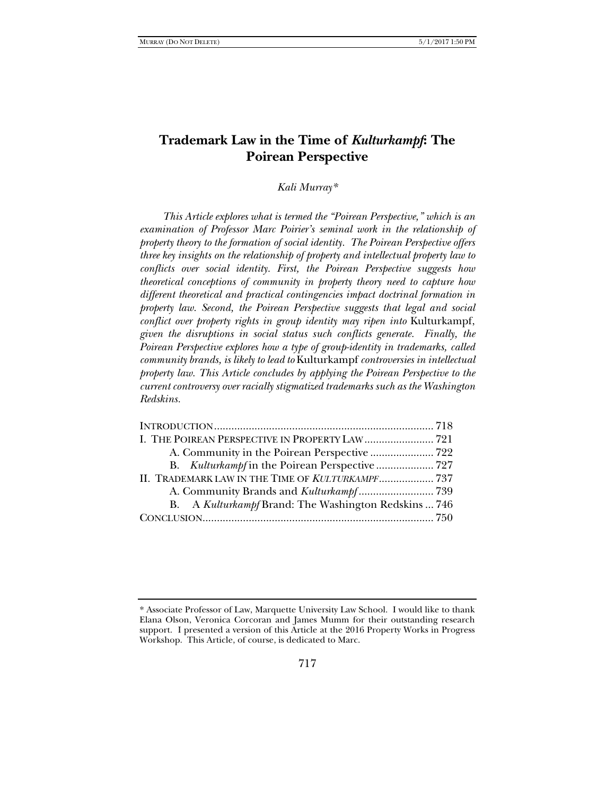# **Trademark Law in the Time of** *Kulturkampf***: The Poirean Perspective**

*Kali Murray\** 

*This Article explores what is termed the "Poirean Perspective," which is an examination of Professor Marc Poirier's seminal work in the relationship of property theory to the formation of social identity. The Poirean Perspective offers three key insights on the relationship of property and intellectual property law to conflicts over social identity. First, the Poirean Perspective suggests how theoretical conceptions of community in property theory need to capture how different theoretical and practical contingencies impact doctrinal formation in property law. Second, the Poirean Perspective suggests that legal and social conflict over property rights in group identity may ripen into* Kulturkampf, *given the disruptions in social status such conflicts generate. Finally, the Poirean Perspective explores how a type of group-identity in trademarks, called community brands, is likely to lead to* Kulturkampf *controversies in intellectual property law. This Article concludes by applying the Poirean Perspective to the current controversy over racially stigmatized trademarks such as the Washington Redskins.* 

| I. THE POIREAN PERSPECTIVE IN PROPERTY LAW  721      |  |
|------------------------------------------------------|--|
|                                                      |  |
|                                                      |  |
| II. TRADEMARK LAW IN THE TIME OF KULTURKAMPF 737     |  |
|                                                      |  |
| B. A Kulturkampf Brand: The Washington Redskins  746 |  |
|                                                      |  |
|                                                      |  |

<sup>\*</sup> Associate Professor of Law, Marquette University Law School. I would like to thank Elana Olson, Veronica Corcoran and James Mumm for their outstanding research support. I presented a version of this Article at the 2016 Property Works in Progress Workshop. This Article, of course, is dedicated to Marc.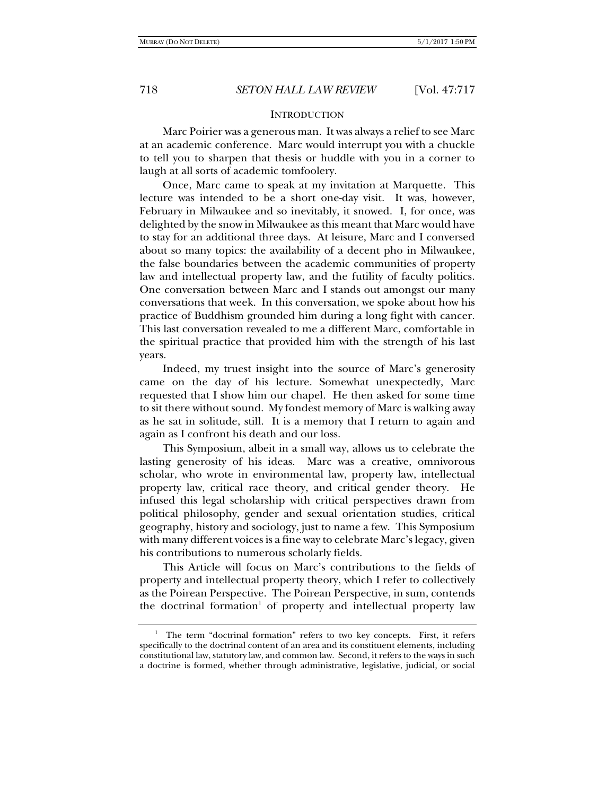## **INTRODUCTION**

Marc Poirier was a generous man. It was always a relief to see Marc at an academic conference. Marc would interrupt you with a chuckle to tell you to sharpen that thesis or huddle with you in a corner to laugh at all sorts of academic tomfoolery.

Once, Marc came to speak at my invitation at Marquette. This lecture was intended to be a short one-day visit. It was, however, February in Milwaukee and so inevitably, it snowed. I, for once, was delighted by the snow in Milwaukee as this meant that Marc would have to stay for an additional three days. At leisure, Marc and I conversed about so many topics: the availability of a decent pho in Milwaukee, the false boundaries between the academic communities of property law and intellectual property law, and the futility of faculty politics. One conversation between Marc and I stands out amongst our many conversations that week. In this conversation, we spoke about how his practice of Buddhism grounded him during a long fight with cancer. This last conversation revealed to me a different Marc, comfortable in the spiritual practice that provided him with the strength of his last years.

Indeed, my truest insight into the source of Marc's generosity came on the day of his lecture. Somewhat unexpectedly, Marc requested that I show him our chapel. He then asked for some time to sit there without sound. My fondest memory of Marc is walking away as he sat in solitude, still. It is a memory that I return to again and again as I confront his death and our loss.

This Symposium, albeit in a small way, allows us to celebrate the lasting generosity of his ideas. Marc was a creative, omnivorous scholar, who wrote in environmental law, property law, intellectual property law, critical race theory, and critical gender theory. He infused this legal scholarship with critical perspectives drawn from political philosophy, gender and sexual orientation studies, critical geography, history and sociology, just to name a few. This Symposium with many different voices is a fine way to celebrate Marc's legacy, given his contributions to numerous scholarly fields.

This Article will focus on Marc's contributions to the fields of property and intellectual property theory, which I refer to collectively as the Poirean Perspective. The Poirean Perspective, in sum, contends the doctrinal formation<sup>1</sup> of property and intellectual property law

<sup>&</sup>lt;sup>1</sup> The term "doctrinal formation" refers to two key concepts. First, it refers specifically to the doctrinal content of an area and its constituent elements, including constitutional law, statutory law, and common law. Second, it refers to the ways in such a doctrine is formed, whether through administrative, legislative, judicial, or social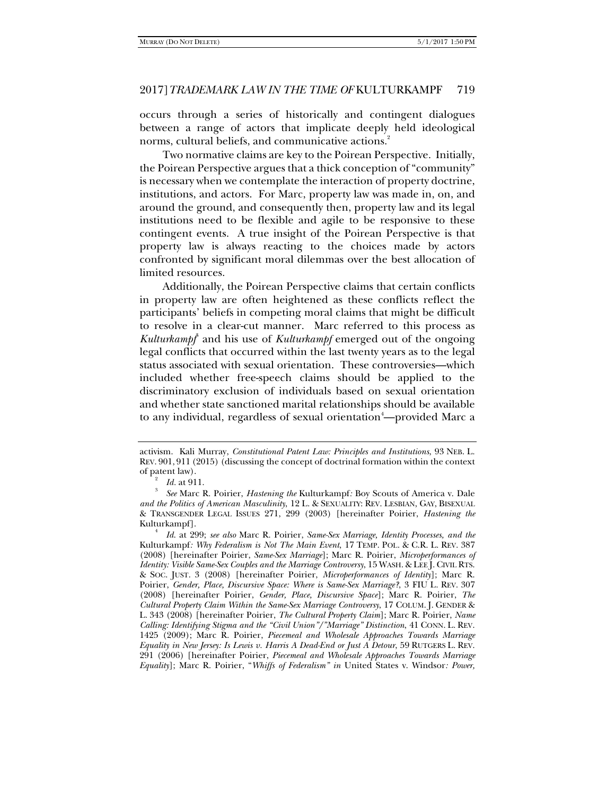occurs through a series of historically and contingent dialogues between a range of actors that implicate deeply held ideological norms, cultural beliefs, and communicative actions.<sup>2</sup>

Two normative claims are key to the Poirean Perspective. Initially, the Poirean Perspective argues that a thick conception of "community" is necessary when we contemplate the interaction of property doctrine, institutions, and actors. For Marc, property law was made in, on, and around the ground, and consequently then, property law and its legal institutions need to be flexible and agile to be responsive to these contingent events. A true insight of the Poirean Perspective is that property law is always reacting to the choices made by actors confronted by significant moral dilemmas over the best allocation of limited resources.

Additionally, the Poirean Perspective claims that certain conflicts in property law are often heightened as these conflicts reflect the participants' beliefs in competing moral claims that might be difficult to resolve in a clear-cut manner. Marc referred to this process as Kulturkampf<sup>3</sup> and his use of *Kulturkampf* emerged out of the ongoing legal conflicts that occurred within the last twenty years as to the legal status associated with sexual orientation. These controversies—which included whether free-speech claims should be applied to the discriminatory exclusion of individuals based on sexual orientation and whether state sanctioned marital relationships should be available to any individual, regardless of sexual orientation<sup>4</sup>—provided Marc a

activism. Kali Murray, *Constitutional Patent Law: Principles and Institutions*, 93 NEB. L. REV. 901, 911 (2015) (discussing the concept of doctrinal formation within the context of patent law).

 $\frac{2}{3}$  *Id.* at 911.

*See* Marc R. Poirier, *Hastening the* Kulturkampf*:* Boy Scouts of America v. Dale *and the Politics of American Masculinity*, 12 L. & SEXUALITY: REV. LESBIAN, GAY, BISEXUAL & TRANSGENDER LEGAL ISSUES 271, 299 (2003) [hereinafter Poirier, *Hastening the*  Kulturkampf]. 4

*Id*. at 299; *see also* Marc R. Poirier, *Same-Sex Marriage, Identity Processes, and the*  Kulturkampf*: Why Federalism is Not The Main Event*, 17 TEMP. POL. & C.R. L. REV. 387 (2008) [hereinafter Poirier, *Same-Sex Marriage*]; Marc R. Poirier, *Microperformances of Identity: Visible Same-Sex Couples and the Marriage Controversy*, 15 WASH. & LEE J. CIVIL RTS. & SOC. JUST. 3 (2008) [hereinafter Poirier, *Microperformances of Identity*]; Marc R. Poirier, *Gender, Place, Discursive Space: Where is Same-Sex Marriage?*, 3 FIU L. REV. 307 (2008) [hereinafter Poirier, *Gender, Place, Discursive Space*]; Marc R. Poirier, *The Cultural Property Claim Within the Same-Sex Marriage Controversy*, 17 COLUM. J. GENDER & L. 343 (2008) [hereinafter Poirier, *The Cultural Property Claim*]; Marc R. Poirier, *Name Calling: Identifying Stigma and the "Civil Union"/"Marriage" Distinction*, 41 CONN. L. REV. 1425 (2009); Marc R. Poirier, *Piecemeal and Wholesale Approaches Towards Marriage Equality in New Jersey: Is Lewis v. Harris A Dead-End or Just A Detour*, 59 RUTGERS L. REV. 291 (2006) [hereinafter Poirier, *Piecemeal and Wholesale Approaches Towards Marriage Equality*]; Marc R. Poirier, "*Whiffs of Federalism" in* United States v. Windsor*: Power,*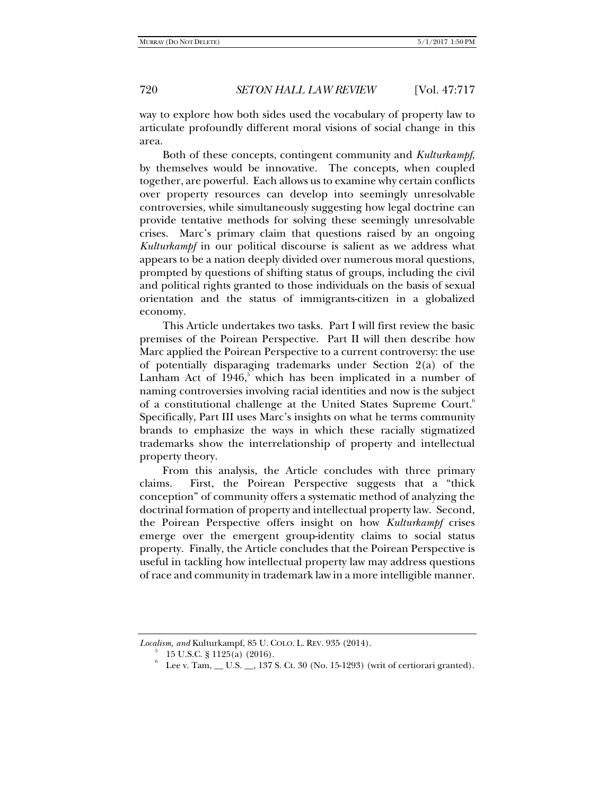way to explore how both sides used the vocabulary of property law to articulate profoundly different moral visions of social change in this area.

Both of these concepts, contingent community and *Kulturkampf*, by themselves would be innovative. The concepts, when coupled together, are powerful. Each allows us to examine why certain conflicts over property resources can develop into seemingly unresolvable controversies, while simultaneously suggesting how legal doctrine can provide tentative methods for solving these seemingly unresolvable crises. Marc's primary claim that questions raised by an ongoing *Kulturkampf* in our political discourse is salient as we address what appears to be a nation deeply divided over numerous moral questions, prompted by questions of shifting status of groups, including the civil and political rights granted to those individuals on the basis of sexual orientation and the status of immigrants-citizen in a globalized economy.

This Article undertakes two tasks. Part I will first review the basic premises of the Poirean Perspective. Part II will then describe how Marc applied the Poirean Perspective to a current controversy: the use of potentially disparaging trademarks under Section 2(a) of the Lanham Act of  $1946$ , which has been implicated in a number of naming controversies involving racial identities and now is the subject of a constitutional challenge at the United States Supreme Court.<sup>6</sup> Specifically, Part III uses Marc's insights on what he terms community brands to emphasize the ways in which these racially stigmatized trademarks show the interrelationship of property and intellectual property theory.

From this analysis, the Article concludes with three primary claims. First, the Poirean Perspective suggests that a "thick conception" of community offers a systematic method of analyzing the doctrinal formation of property and intellectual property law. Second, the Poirean Perspective offers insight on how *Kulturkampf* crises emerge over the emergent group-identity claims to social status property. Finally, the Article concludes that the Poirean Perspective is useful in tackling how intellectual property law may address questions of race and community in trademark law in a more intelligible manner.

6

*Localism, and Kulturkampf, 85 U. COLO. L. REV. 935 (2014).* 

 <sup>15</sup> U.S.C. § 1125(a) (2016).

Lee v. Tam, \_\_ U.S. \_\_, 137 S. Ct. 30 (No. 15-1293) (writ of certiorari granted).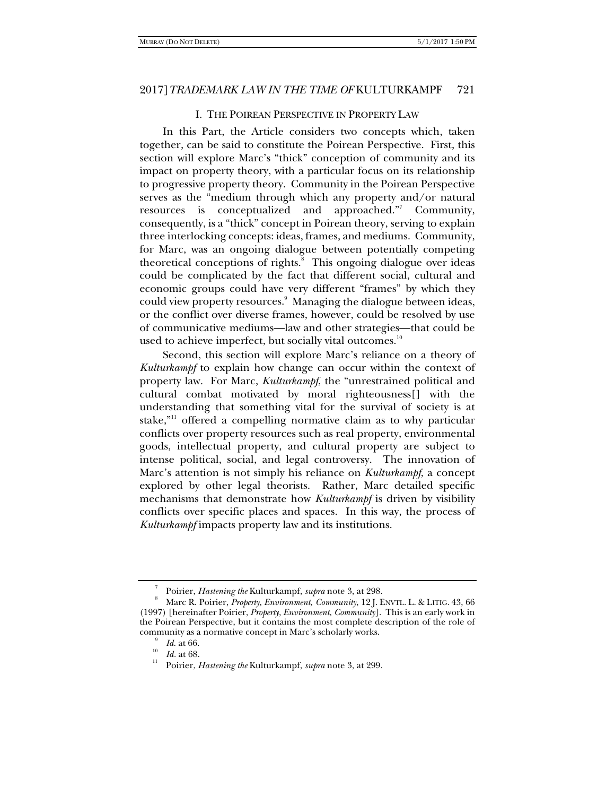### I. THE POIREAN PERSPECTIVE IN PROPERTY LAW

In this Part, the Article considers two concepts which, taken together, can be said to constitute the Poirean Perspective. First, this section will explore Marc's "thick" conception of community and its impact on property theory, with a particular focus on its relationship to progressive property theory. Community in the Poirean Perspective serves as the "medium through which any property and/or natural resources is conceptualized and approached."<sup>7</sup> Community, consequently, is a "thick" concept in Poirean theory, serving to explain three interlocking concepts: ideas, frames, and mediums. Community, for Marc, was an ongoing dialogue between potentially competing theoretical conceptions of rights.<sup>8</sup> This ongoing dialogue over ideas could be complicated by the fact that different social, cultural and economic groups could have very different "frames" by which they could view property resources.<sup>9</sup> Managing the dialogue between ideas, or the conflict over diverse frames, however, could be resolved by use of communicative mediums—law and other strategies—that could be used to achieve imperfect, but socially vital outcomes.<sup>10</sup>

Second, this section will explore Marc's reliance on a theory of *Kulturkampf* to explain how change can occur within the context of property law. For Marc, *Kulturkampf*, the "unrestrained political and cultural combat motivated by moral righteousness[] with the understanding that something vital for the survival of society is at stake,"<sup>11</sup> offered a compelling normative claim as to why particular conflicts over property resources such as real property, environmental goods, intellectual property, and cultural property are subject to intense political, social, and legal controversy. The innovation of Marc's attention is not simply his reliance on *Kulturkampf*, a concept explored by other legal theorists. Rather, Marc detailed specific mechanisms that demonstrate how *Kulturkampf* is driven by visibility conflicts over specific places and spaces. In this way, the process of *Kulturkampf* impacts property law and its institutions.

<sup>7</sup> Poirier, *Hastening the* Kulturkampf, *supra* note 3, at 298.

Marc R. Poirier, *Property, Environment, Community*, 12 J. ENVTL. L. & LITIG. 43, 66 (1997) [hereinafter Poirier, *Property, Environment, Community*]. This is an early work in the Poirean Perspective, but it contains the most complete description of the role of community as a normative concept in Marc's scholarly works.<br> $\frac{9}{16}$  Id. at 66.

<sup>&</sup>lt;sup>10</sup> *Id.* at 68.<br><sup>11</sup> Poirier, *Hastening the* Kulturkampf, *supra* note 3, at 299.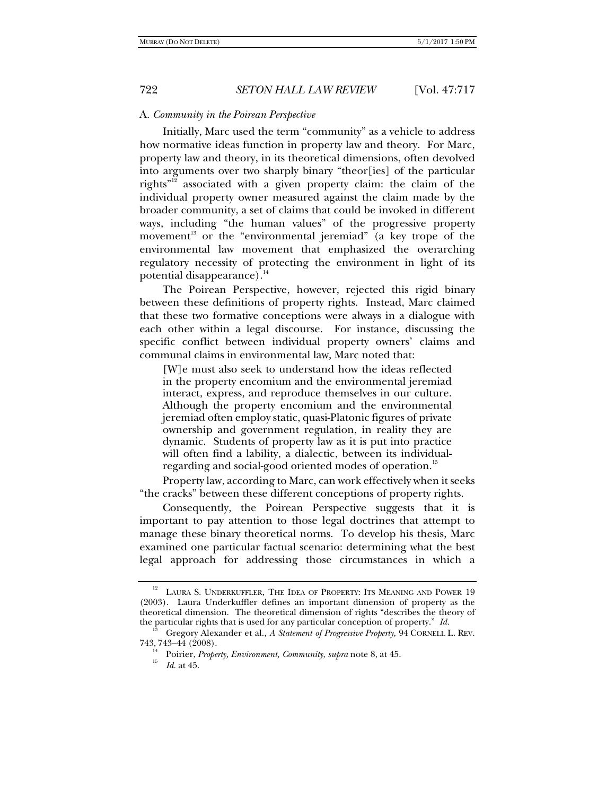## A. *Community in the Poirean Perspective*

Initially, Marc used the term "community" as a vehicle to address how normative ideas function in property law and theory. For Marc, property law and theory, in its theoretical dimensions, often devolved into arguments over two sharply binary "theor[ies] of the particular rights"12 associated with a given property claim: the claim of the individual property owner measured against the claim made by the broader community, a set of claims that could be invoked in different ways, including "the human values" of the progressive property movement<sup>13</sup> or the "environmental jeremiad" (a key trope of the environmental law movement that emphasized the overarching regulatory necessity of protecting the environment in light of its potential disappearance). $14$ 

The Poirean Perspective, however, rejected this rigid binary between these definitions of property rights. Instead, Marc claimed that these two formative conceptions were always in a dialogue with each other within a legal discourse. For instance, discussing the specific conflict between individual property owners' claims and communal claims in environmental law, Marc noted that:

[W]e must also seek to understand how the ideas reflected in the property encomium and the environmental jeremiad interact, express, and reproduce themselves in our culture. Although the property encomium and the environmental jeremiad often employ static, quasi-Platonic figures of private ownership and government regulation, in reality they are dynamic. Students of property law as it is put into practice will often find a lability, a dialectic, between its individualregarding and social-good oriented modes of operation.<sup>15</sup>

Property law, according to Marc, can work effectively when it seeks "the cracks" between these different conceptions of property rights.

Consequently, the Poirean Perspective suggests that it is important to pay attention to those legal doctrines that attempt to manage these binary theoretical norms. To develop his thesis, Marc examined one particular factual scenario: determining what the best legal approach for addressing those circumstances in which a

<sup>&</sup>lt;sup>12</sup> LAURA S. UNDERKUFFLER, THE IDEA OF PROPERTY: ITS MEANING AND POWER 19 (2003). Laura Underkuffler defines an important dimension of property as the theoretical dimension. The theoretical dimension of rights "describes the theory of the particular rights that is used for any particular conception of property." *Id.* 13 Gregory Alexander et al., *A Statement of Progressive Property*, 94 CORNELL L. REV.

<sup>743, 743–44 (2008).</sup> 

<sup>14</sup> Poirier, *Property, Environment, Community*, *supra* note 8, at 45. 15 *Id*. at 45.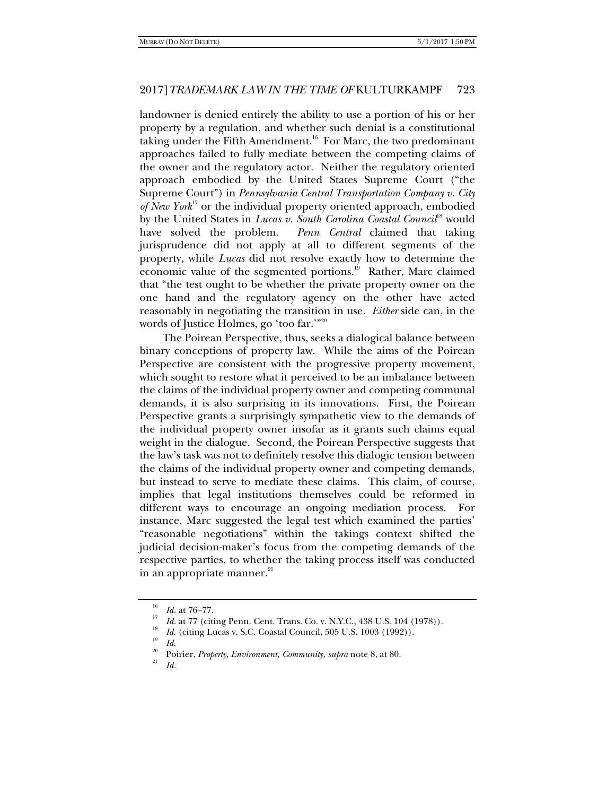landowner is denied entirely the ability to use a portion of his or her property by a regulation, and whether such denial is a constitutional taking under the Fifth Amendment.<sup>16</sup> For Marc, the two predominant approaches failed to fully mediate between the competing claims of the owner and the regulatory actor. Neither the regulatory oriented approach embodied by the United States Supreme Court ("the Supreme Court") in *Pennsylvania Central Transportation Company v. City of New York*17 or the individual property oriented approach, embodied by the United States in *Lucas v. South Carolina Coastal Council*<sup>18</sup> would have solved the problem. *Penn Central* claimed that taking jurisprudence did not apply at all to different segments of the property, while *Lucas* did not resolve exactly how to determine the economic value of the segmented portions.<sup>19</sup> Rather, Marc claimed that "the test ought to be whether the private property owner on the one hand and the regulatory agency on the other have acted reasonably in negotiating the transition in use. *Either* side can, in the words of Justice Holmes, go 'too far.'"20

The Poirean Perspective, thus, seeks a dialogical balance between binary conceptions of property law. While the aims of the Poirean Perspective are consistent with the progressive property movement, which sought to restore what it perceived to be an imbalance between the claims of the individual property owner and competing communal demands, it is also surprising in its innovations. First, the Poirean Perspective grants a surprisingly sympathetic view to the demands of the individual property owner insofar as it grants such claims equal weight in the dialogue. Second, the Poirean Perspective suggests that the law's task was not to definitely resolve this dialogic tension between the claims of the individual property owner and competing demands, but instead to serve to mediate these claims. This claim, of course, implies that legal institutions themselves could be reformed in different ways to encourage an ongoing mediation process. For instance, Marc suggested the legal test which examined the parties' "reasonable negotiations" within the takings context shifted the judicial decision-maker's focus from the competing demands of the respective parties, to whether the taking process itself was conducted in an appropriate manner.<sup>21</sup>

*Id.*

<sup>&</sup>lt;sup>16</sup> *Id.* at  $76-77$ .<br><sup>17</sup> *Id.* at 77 (citing Penn. Cent. Trans. Co. v. N.Y.C., 438 U.S. 104 (1978)).

<sup>&</sup>lt;sup>18</sup> *Id.* (citing Lucas v. S.C. Coastal Council, 505 U.S. 1003 (1992)). *Id.* 

<sup>&</sup>lt;sup>20</sup> Poirier, *Property, Environment, Community, supra* note 8, at 80.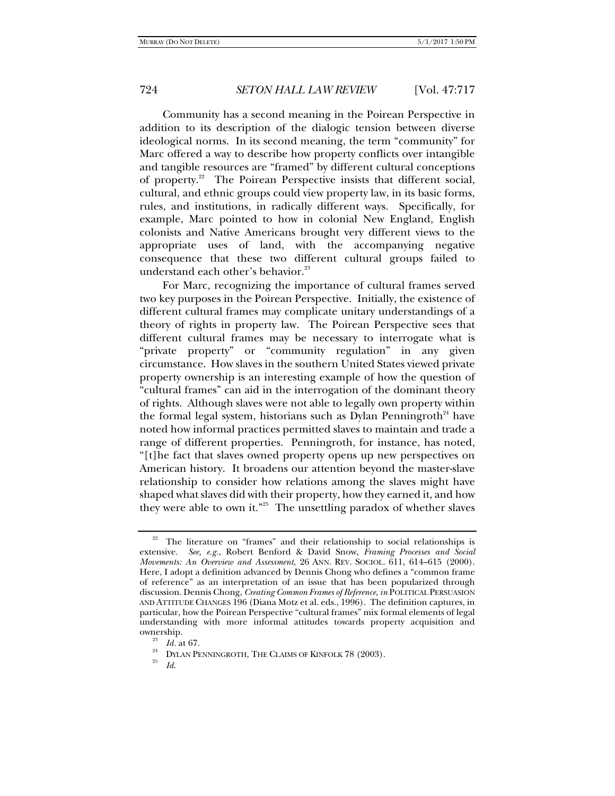Community has a second meaning in the Poirean Perspective in addition to its description of the dialogic tension between diverse ideological norms. In its second meaning, the term "community" for Marc offered a way to describe how property conflicts over intangible and tangible resources are "framed" by different cultural conceptions of property.<sup>22</sup> The Poirean Perspective insists that different social, cultural, and ethnic groups could view property law, in its basic forms, rules, and institutions, in radically different ways. Specifically, for example, Marc pointed to how in colonial New England, English colonists and Native Americans brought very different views to the appropriate uses of land, with the accompanying negative consequence that these two different cultural groups failed to understand each other's behavior. $^{23}$ 

For Marc, recognizing the importance of cultural frames served two key purposes in the Poirean Perspective. Initially, the existence of different cultural frames may complicate unitary understandings of a theory of rights in property law. The Poirean Perspective sees that different cultural frames may be necessary to interrogate what is "private property" or "community regulation" in any given circumstance. How slaves in the southern United States viewed private property ownership is an interesting example of how the question of "cultural frames" can aid in the interrogation of the dominant theory of rights. Although slaves were not able to legally own property within the formal legal system, historians such as Dylan Penningroth<sup>24</sup> have noted how informal practices permitted slaves to maintain and trade a range of different properties. Penningroth, for instance, has noted, "[t]he fact that slaves owned property opens up new perspectives on American history. It broadens our attention beyond the master-slave relationship to consider how relations among the slaves might have shaped what slaves did with their property, how they earned it, and how they were able to own it."<sup>25</sup> The unsettling paradox of whether slaves

The literature on "frames" and their relationship to social relationships is extensive. *See, e.g.*, Robert Benford & David Snow, *Framing Processes and Social Movements: An Overview and Assessment*, 26 ANN. REV. SOCIOL. 611, 614–615 (2000). Here, I adopt a definition advanced by Dennis Chong who defines a "common frame of reference" as an interpretation of an issue that has been popularized through discussion. Dennis Chong, *Creating Common Frames of Reference, in* POLITICAL PERSUASION AND ATTITUDE CHANGES 196 (Diana Motz et al. eds., 1996). The definition captures, in particular, how the Poirean Perspective "cultural frames" mix formal elements of legal understanding with more informal attitudes towards property acquisition and

ownership.<br><sup>23</sup> *Id.* at 67.<br><sup>24</sup> DYLAN PENNINGROTH, THE CLAIMS OF KINFOLK 78 (2003).<br><sup>25</sup> *Id.*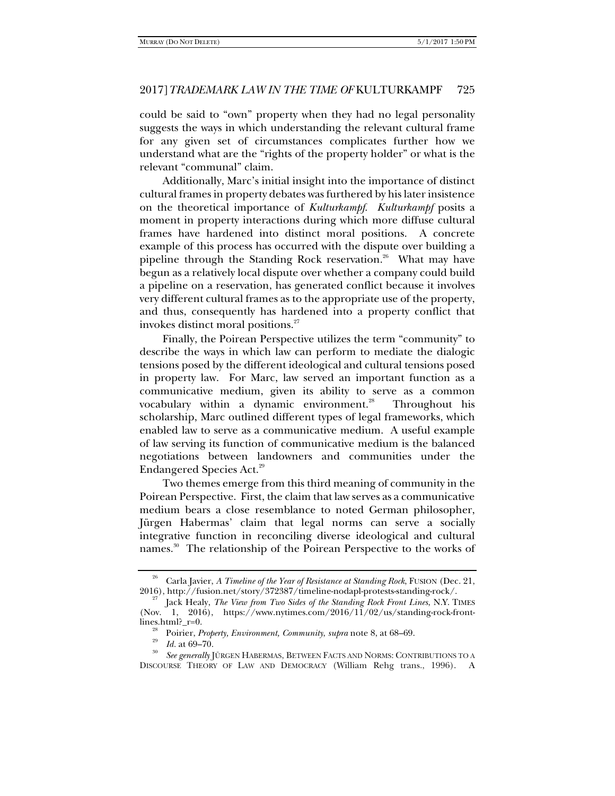could be said to "own" property when they had no legal personality suggests the ways in which understanding the relevant cultural frame for any given set of circumstances complicates further how we understand what are the "rights of the property holder" or what is the relevant "communal" claim.

Additionally, Marc's initial insight into the importance of distinct cultural frames in property debates was furthered by his later insistence on the theoretical importance of *Kulturkampf*. *Kulturkampf* posits a moment in property interactions during which more diffuse cultural frames have hardened into distinct moral positions. A concrete example of this process has occurred with the dispute over building a pipeline through the Standing Rock reservation.<sup>26</sup> What may have begun as a relatively local dispute over whether a company could build a pipeline on a reservation, has generated conflict because it involves very different cultural frames as to the appropriate use of the property, and thus, consequently has hardened into a property conflict that invokes distinct moral positions.<sup>27</sup>

Finally, the Poirean Perspective utilizes the term "community" to describe the ways in which law can perform to mediate the dialogic tensions posed by the different ideological and cultural tensions posed in property law. For Marc, law served an important function as a communicative medium, given its ability to serve as a common vocabulary within a dynamic environment. $^{28}$  Throughout his scholarship, Marc outlined different types of legal frameworks, which enabled law to serve as a communicative medium. A useful example of law serving its function of communicative medium is the balanced negotiations between landowners and communities under the Endangered Species Act.29

Two themes emerge from this third meaning of community in the Poirean Perspective. First, the claim that law serves as a communicative medium bears a close resemblance to noted German philosopher, Jürgen Habermas' claim that legal norms can serve a socially integrative function in reconciling diverse ideological and cultural names.<sup>30</sup> The relationship of the Poirean Perspective to the works of

<sup>&</sup>lt;sup>26</sup> Carla Javier, *A Timeline of the Year of Resistance at Standing Rock*, FUSION (Dec. 21, 2016), http://fusion.net/story/372387/timeline-nodapl-protests-standing-rock/.

<sup>2016),</sup> http://fusion.net/story/372387/timeline-nodapl-protests-standing-rock/. 27 Jack Healy, *The View from Two Sides of the Standing Rock Front Lines*, N.Y. TIMES (Nov. 1, 2016), https://www.nytimes.com/2016/11/02/us/standing-rock-frontlines.html?\_r=0.<br><sup>28</sup> Poirier, *Property, Environment, Community, supra* note 8, at 68–69.<br><sup>29</sup> *Id.* at 69–70.<br><sup>30</sup> See generally JÜRGEN HABERMAS, BETWEEN FACTS AND NORMS: CONTRIBUTIONS TO A

DISCOURSE THEORY OF LAW AND DEMOCRACY (William Rehg trans., 1996). A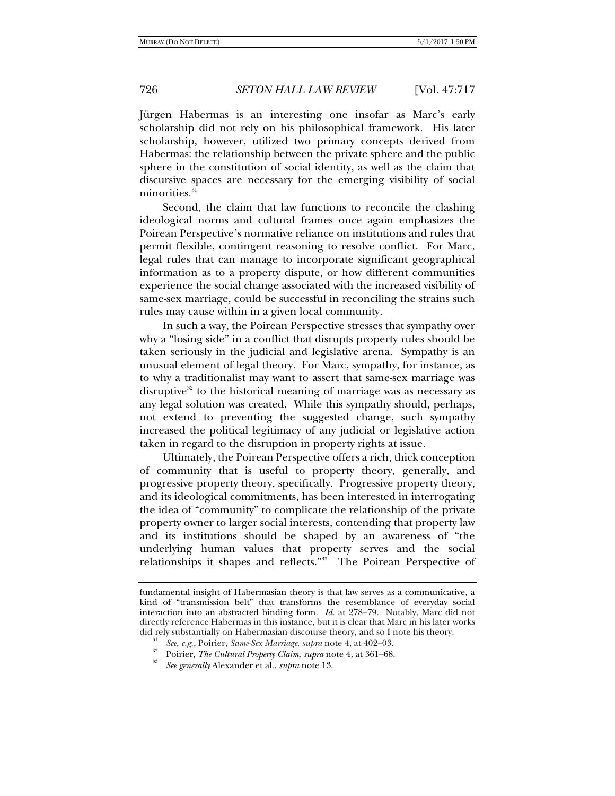Jürgen Habermas is an interesting one insofar as Marc's early scholarship did not rely on his philosophical framework. His later scholarship, however, utilized two primary concepts derived from Habermas: the relationship between the private sphere and the public sphere in the constitution of social identity, as well as the claim that discursive spaces are necessary for the emerging visibility of social minorities.<sup>3</sup>

Second, the claim that law functions to reconcile the clashing ideological norms and cultural frames once again emphasizes the Poirean Perspective's normative reliance on institutions and rules that permit flexible, contingent reasoning to resolve conflict. For Marc, legal rules that can manage to incorporate significant geographical information as to a property dispute, or how different communities experience the social change associated with the increased visibility of same-sex marriage, could be successful in reconciling the strains such rules may cause within in a given local community.

In such a way, the Poirean Perspective stresses that sympathy over why a "losing side" in a conflict that disrupts property rules should be taken seriously in the judicial and legislative arena. Sympathy is an unusual element of legal theory. For Marc, sympathy, for instance, as to why a traditionalist may want to assert that same-sex marriage was disruptive $32$  to the historical meaning of marriage was as necessary as any legal solution was created. While this sympathy should, perhaps, not extend to preventing the suggested change, such sympathy increased the political legitimacy of any judicial or legislative action taken in regard to the disruption in property rights at issue.

Ultimately, the Poirean Perspective offers a rich, thick conception of community that is useful to property theory, generally, and progressive property theory, specifically. Progressive property theory, and its ideological commitments, has been interested in interrogating the idea of "community" to complicate the relationship of the private property owner to larger social interests, contending that property law and its institutions should be shaped by an awareness of "the underlying human values that property serves and the social relationships it shapes and reflects."33 The Poirean Perspective of

fundamental insight of Habermasian theory is that law serves as a communicative, a kind of "transmission belt" that transforms the resemblance of everyday social interaction into an abstracted binding form. *Id.* at 278–79. Notably, Marc did not directly reference Habermas in this instance, but it is clear that Marc in his later works did rely substantially on Habermasian discourse theory, and so I note his theory.<br><sup>31</sup> See, e.g., Poirier, Same-Sex Marriage, supra note 4, at 402–03.<br><sup>32</sup> Poirier, *The Cultural Property Claim, supra* note 4, at 361–68.

*See generally* Alexander et al., *supra* note 13.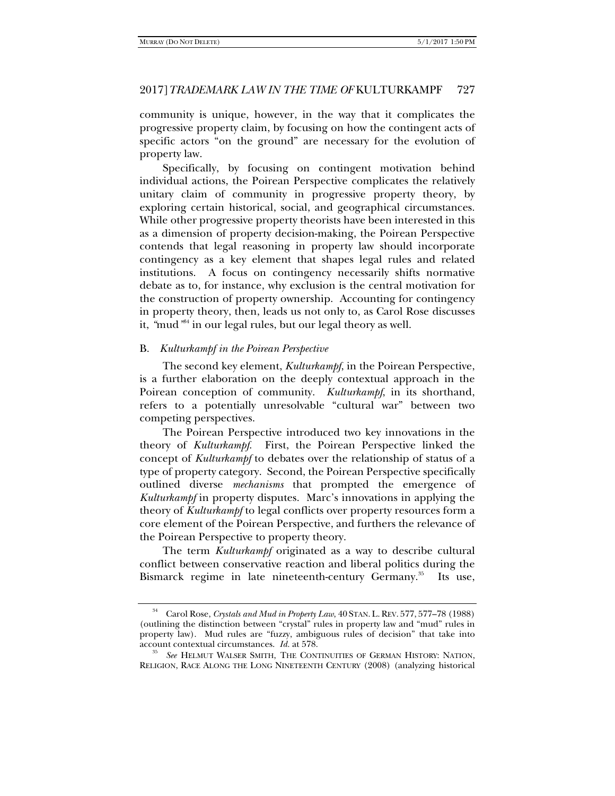community is unique, however, in the way that it complicates the progressive property claim, by focusing on how the contingent acts of specific actors "on the ground" are necessary for the evolution of property law.

Specifically, by focusing on contingent motivation behind individual actions, the Poirean Perspective complicates the relatively unitary claim of community in progressive property theory, by exploring certain historical, social, and geographical circumstances. While other progressive property theorists have been interested in this as a dimension of property decision-making, the Poirean Perspective contends that legal reasoning in property law should incorporate contingency as a key element that shapes legal rules and related institutions. A focus on contingency necessarily shifts normative debate as to, for instance, why exclusion is the central motivation for the construction of property ownership. Accounting for contingency in property theory, then, leads us not only to, as Carol Rose discusses it, *"*mud*"* 34 in our legal rules, but our legal theory as well.

## B. *Kulturkampf in the Poirean Perspective*

The second key element, *Kulturkampf*, in the Poirean Perspective, is a further elaboration on the deeply contextual approach in the Poirean conception of community. *Kulturkampf*, in its shorthand, refers to a potentially unresolvable "cultural war" between two competing perspectives.

The Poirean Perspective introduced two key innovations in the theory of *Kulturkampf*. First, the Poirean Perspective linked the concept of *Kulturkampf* to debates over the relationship of status of a type of property category. Second, the Poirean Perspective specifically outlined diverse *mechanisms* that prompted the emergence of *Kulturkampf* in property disputes. Marc's innovations in applying the theory of *Kulturkampf* to legal conflicts over property resources form a core element of the Poirean Perspective, and furthers the relevance of the Poirean Perspective to property theory.

The term *Kulturkampf* originated as a way to describe cultural conflict between conservative reaction and liberal politics during the Bismarck regime in late nineteenth-century Germany.<sup>35</sup> Its use,

<sup>34</sup> Carol Rose, *Crystals and Mud in Property Law*, 40 STAN. L. REV. 577, 577–78 (1988) (outlining the distinction between "crystal" rules in property law and "mud" rules in property law). Mud rules are "fuzzy, ambiguous rules of decision" that take into account contextual circumstances. *Id.* at 578.<br><sup>35</sup> See HELMUT WALSER SMITH, THE CONTINUITIES OF GERMAN HISTORY: NATION,

RELIGION, RACE ALONG THE LONG NINETEENTH CENTURY (2008) (analyzing historical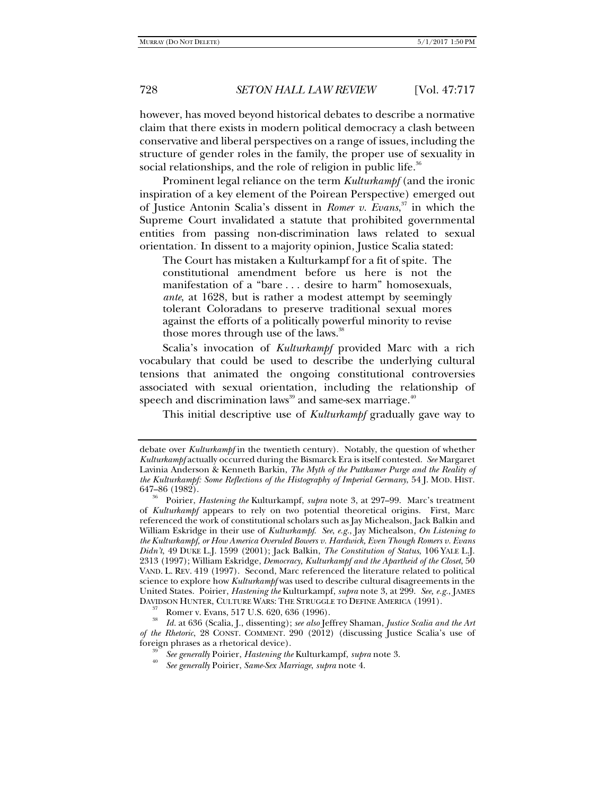however, has moved beyond historical debates to describe a normative claim that there exists in modern political democracy a clash between conservative and liberal perspectives on a range of issues, including the structure of gender roles in the family, the proper use of sexuality in social relationships, and the role of religion in public life.<sup>36</sup>

Prominent legal reliance on the term *Kulturkampf* (and the ironic inspiration of a key element of the Poirean Perspective) emerged out of Justice Antonin Scalia's dissent in *Romer v. Evans*, 37 in which the Supreme Court invalidated a statute that prohibited governmental entities from passing non-discrimination laws related to sexual orientation.. In dissent to a majority opinion, Justice Scalia stated:

The Court has mistaken a Kulturkampf for a fit of spite. The constitutional amendment before us here is not the manifestation of a "bare . . . desire to harm" homosexuals, *ante*, at 1628, but is rather a modest attempt by seemingly tolerant Coloradans to preserve traditional sexual mores against the efforts of a politically powerful minority to revise those mores through use of the laws.<sup>38</sup>

Scalia's invocation of *Kulturkampf* provided Marc with a rich vocabulary that could be used to describe the underlying cultural tensions that animated the ongoing constitutional controversies associated with sexual orientation, including the relationship of speech and discrimination laws<sup>39</sup> and same-sex marriage.<sup>40</sup>

This initial descriptive use of *Kulturkampf* gradually gave way to

debate over *Kulturkampf* in the twentieth century). Notably, the question of whether *Kulturkampf* actually occurred during the Bismarck Era is itself contested. *See* Margaret Lavinia Anderson & Kenneth Barkin, *The Myth of the Puttkamer Purge and the Reality of the Kulturkampf: Some Reflections of the Histography of Imperial Germany*, 54 J. MOD. HIST. 647–86 (1982). 36 Poirier, *Hastening the* Kulturkampf, *supra* note 3, at 297–99. Marc's treatment

of *Kulturkampf* appears to rely on two potential theoretical origins. First, Marc referenced the work of constitutional scholars such as Jay Michealson, Jack Balkin and William Eskridge in their use of *Kulturkampf*. *See*, *e.g.*, Jay Michealson, *On Listening to the Kulturkampf, or How America Overuled Bowers v. Hardwick, Even Though Romers v. Evans Didn't*, 49 DUKE L.J. 1599 (2001); Jack Balkin, *The Constitution of Status*, 106 YALE L.J. 2313 (1997); William Eskridge, *Democracy, Kulturkampf and the Apartheid of the Closet*, 50 VAND. L. REV. 419 (1997). Second, Marc referenced the literature related to political science to explore how *Kulturkampf* was used to describe cultural disagreements in the United States. Poirier, *Hastening the* Kulturkampf, *supra* note 3, at 299. *See, e.g.*, JAMES DAVIDSON HUNTER, CULTURE WARS: THE STRUGGLE TO DEFINE AMERICA (1991).<br><sup>37</sup> Romer v. Evans, 517 U.S. 620, 636 (1996).

<sup>38</sup> *Id.* at 636 (Scalia, J., dissenting); *see also* Jeffrey Shaman, *Justice Scalia and the Art of the Rhetoric*, 28 CONST. COMMENT. 290 (2012) (discussing Justice Scalia's use of foreign phrases as a rhetorical device). 39 *See generally* Poirier, *Hastening the* Kulturkampf, *supra* note 3. 40 *See generally* Poirier, *Same-Sex Marriage*, *supra* note 4.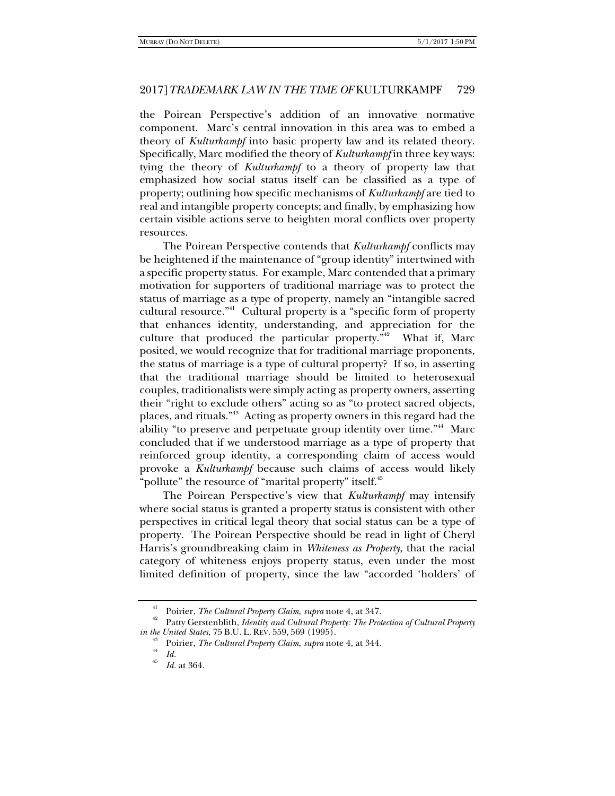the Poirean Perspective's addition of an innovative normative component. Marc's central innovation in this area was to embed a theory of *Kulturkampf* into basic property law and its related theory. Specifically, Marc modified the theory of *Kulturkampf* in three key ways: tying the theory of *Kulturkampf* to a theory of property law that emphasized how social status itself can be classified as a type of property; outlining how specific mechanisms of *Kulturkampf* are tied to real and intangible property concepts; and finally, by emphasizing how certain visible actions serve to heighten moral conflicts over property resources.

The Poirean Perspective contends that *Kulturkampf* conflicts may be heightened if the maintenance of "group identity" intertwined with a specific property status. For example, Marc contended that a primary motivation for supporters of traditional marriage was to protect the status of marriage as a type of property, namely an "intangible sacred cultural resource."41 Cultural property is a "specific form of property that enhances identity, understanding, and appreciation for the culture that produced the particular property. $142$  What if, Marc posited, we would recognize that for traditional marriage proponents, the status of marriage is a type of cultural property? If so, in asserting that the traditional marriage should be limited to heterosexual couples, traditionalists were simply acting as property owners, asserting their "right to exclude others" acting so as "to protect sacred objects, places, and rituals."43 Acting as property owners in this regard had the ability "to preserve and perpetuate group identity over time."<sup>44</sup> Marc concluded that if we understood marriage as a type of property that reinforced group identity, a corresponding claim of access would provoke a *Kulturkampf* because such claims of access would likely "pollute" the resource of "marital property" itself.<sup>45</sup>

The Poirean Perspective's view that *Kulturkampf* may intensify where social status is granted a property status is consistent with other perspectives in critical legal theory that social status can be a type of property. The Poirean Perspective should be read in light of Cheryl Harris's groundbreaking claim in *Whiteness as Property*, that the racial category of whiteness enjoys property status, even under the most limited definition of property, since the law "accorded 'holders' of

<sup>&</sup>lt;sup>41</sup> Poirier, *The Cultural Property Claim, supra* note 4, at 347.<br><sup>42</sup> Patty Gerstenblith, *Identity and Cultural Property: The Protection of Cultural Property* 

*in the United States,* 75 B.U. L. REV. 559, 569 (1995).<br><sup>43</sup> Poirier, *The Cultural Property Claim, supra* note 4, at 344.<br><sup>44</sup> Id.

*Id.* at 364.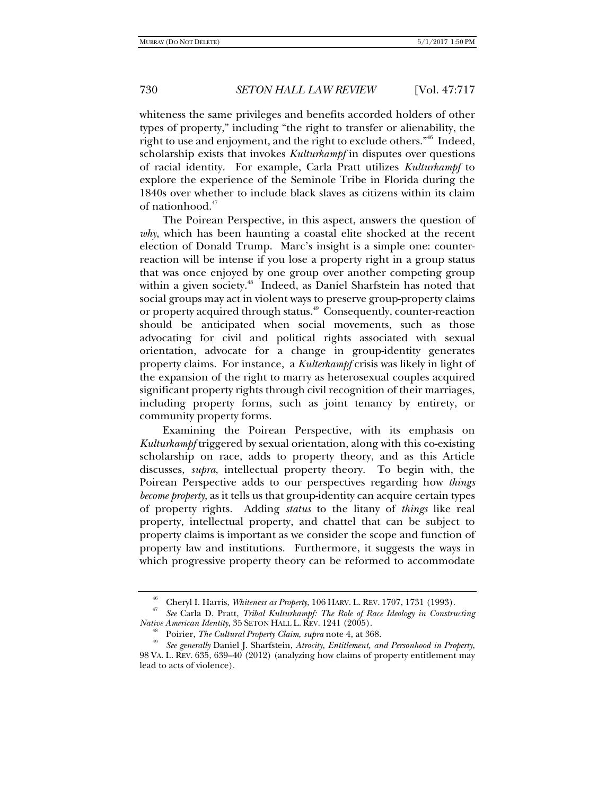whiteness the same privileges and benefits accorded holders of other types of property," including "the right to transfer or alienability, the right to use and enjoyment, and the right to exclude others.<sup>"46</sup> Indeed, scholarship exists that invokes *Kulturkampf* in disputes over questions of racial identity. For example, Carla Pratt utilizes *Kulturkampf* to explore the experience of the Seminole Tribe in Florida during the 1840s over whether to include black slaves as citizens within its claim of nationhood.<sup>47</sup>

The Poirean Perspective, in this aspect, answers the question of *why*, which has been haunting a coastal elite shocked at the recent election of Donald Trump. Marc's insight is a simple one: counterreaction will be intense if you lose a property right in a group status that was once enjoyed by one group over another competing group within a given society.<sup>48</sup> Indeed, as Daniel Sharfstein has noted that social groups may act in violent ways to preserve group-property claims or property acquired through status.<sup>49</sup> Consequently, counter-reaction should be anticipated when social movements, such as those advocating for civil and political rights associated with sexual orientation, advocate for a change in group-identity generates property claims. For instance, a *Kulterkampf* crisis was likely in light of the expansion of the right to marry as heterosexual couples acquired significant property rights through civil recognition of their marriages, including property forms, such as joint tenancy by entirety, or community property forms.

Examining the Poirean Perspective, with its emphasis on *Kulturkampf* triggered by sexual orientation, along with this co-existing scholarship on race, adds to property theory, and as this Article discusses, *supra*, intellectual property theory. To begin with, the Poirean Perspective adds to our perspectives regarding how *things become property*, as it tells us that group-identity can acquire certain types of property rights. Adding *status* to the litany of *things* like real property, intellectual property, and chattel that can be subject to property claims is important as we consider the scope and function of property law and institutions. Furthermore, it suggests the ways in which progressive property theory can be reformed to accommodate

<sup>46</sup> Cheryl I. Harris, *Whiteness as Property*, 106 HARV. L. REV. 1707, 1731 (1993). 47 *See* Carla D. Pratt, *Tribal Kulturkampf: The Role of Race Ideology in Constructing* 

Poirier, The Cultural Property Claim, supra note 4, at 368.<br>See generally Daniel J. Sharfstein, Atrocity, Entitlement, and Personhood in Property, 98 VA. L. REV. 635, 639–40 (2012) (analyzing how claims of property entitlement may lead to acts of violence).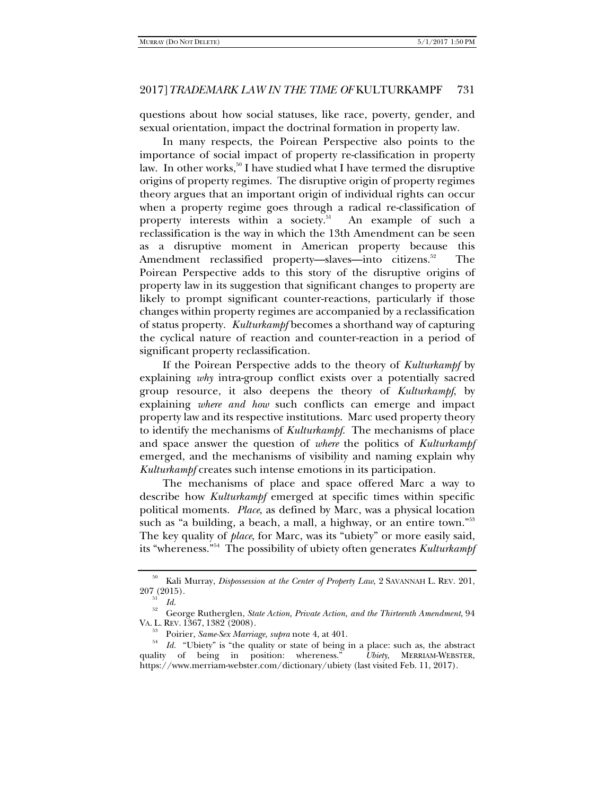questions about how social statuses, like race, poverty, gender, and sexual orientation, impact the doctrinal formation in property law.

In many respects, the Poirean Perspective also points to the importance of social impact of property re-classification in property law. In other works,<sup>50</sup> I have studied what I have termed the disruptive origins of property regimes. The disruptive origin of property regimes theory argues that an important origin of individual rights can occur when a property regime goes through a radical re-classification of property interests within a society.<sup>51</sup> An example of such a reclassification is the way in which the 13th Amendment can be seen as a disruptive moment in American property because this Amendment reclassified property—slaves—into citizens.<sup>52</sup> The Poirean Perspective adds to this story of the disruptive origins of property law in its suggestion that significant changes to property are likely to prompt significant counter-reactions, particularly if those changes within property regimes are accompanied by a reclassification of status property. *Kulturkampf* becomes a shorthand way of capturing the cyclical nature of reaction and counter-reaction in a period of significant property reclassification.

If the Poirean Perspective adds to the theory of *Kulturkampf* by explaining *why* intra-group conflict exists over a potentially sacred group resource, it also deepens the theory of *Kulturkampf*, by explaining *where and how* such conflicts can emerge and impact property law and its respective institutions. Marc used property theory to identify the mechanisms of *Kulturkampf*. The mechanisms of place and space answer the question of *where* the politics of *Kulturkampf* emerged, and the mechanisms of visibility and naming explain why *Kulturkampf* creates such intense emotions in its participation.

The mechanisms of place and space offered Marc a way to describe how *Kulturkampf* emerged at specific times within specific political moments. *Place*, as defined by Marc, was a physical location such as "a building, a beach, a mall, a highway, or an entire town."<sup>53</sup> The key quality of *place*, for Marc, was its "ubiety" or more easily said, its "whereness."54 The possibility of ubiety often generates *Kulturkampf*

<sup>&</sup>lt;sup>50</sup> Kali Murray, *Dispossession at the Center of Property Law*, 2 SAVANNAH L. REV. 201, 207 (2015).

<sup>&</sup>lt;sup>51</sup> *Id.* George Rutherglen, *State Action, Private Action, and the Thirteenth Amendment*, 94<br>VA. L. REV. 1367, 1382 (2008).

<sup>&</sup>lt;sup>53</sup> Poirier, *Same-Sex Marriage*, *supra* note 4, at 401.<br><sup>54</sup> *Id.* "Ubiety" is "the quality or state of being in a place: such as, the abstract quality of being in position: whereness." *Ubiety*, MERRIAM-WEBSTER, https://www.merriam-webster.com/dictionary/ubiety (last visited Feb. 11, 2017).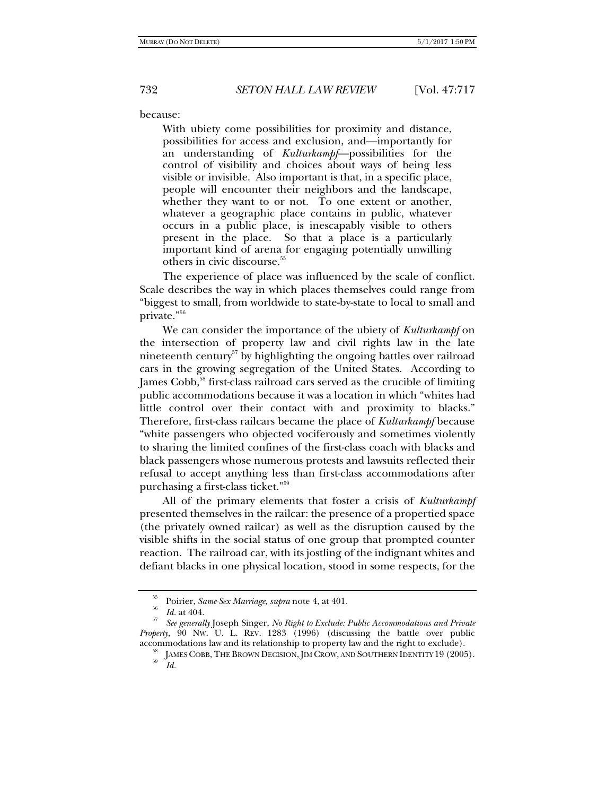because:

With ubiety come possibilities for proximity and distance, possibilities for access and exclusion, and—importantly for an understanding of *Kulturkampf*—possibilities for the control of visibility and choices about ways of being less visible or invisible. Also important is that, in a specific place, people will encounter their neighbors and the landscape, whether they want to or not. To one extent or another, whatever a geographic place contains in public, whatever occurs in a public place, is inescapably visible to others present in the place. So that a place is a particularly important kind of arena for engaging potentially unwilling others in civic discourse.55

The experience of place was influenced by the scale of conflict. Scale describes the way in which places themselves could range from "biggest to small, from worldwide to state-by-state to local to small and private."56

We can consider the importance of the ubiety of *Kulturkampf* on the intersection of property law and civil rights law in the late nineteenth century<sup>57</sup> by highlighting the ongoing battles over railroad cars in the growing segregation of the United States. According to James Cobb,<sup>58</sup> first-class railroad cars served as the crucible of limiting public accommodations because it was a location in which "whites had little control over their contact with and proximity to blacks." Therefore, first-class railcars became the place of *Kulturkampf* because "white passengers who objected vociferously and sometimes violently to sharing the limited confines of the first-class coach with blacks and black passengers whose numerous protests and lawsuits reflected their refusal to accept anything less than first-class accommodations after purchasing a first-class ticket."59

All of the primary elements that foster a crisis of *Kulturkampf*  presented themselves in the railcar: the presence of a propertied space (the privately owned railcar) as well as the disruption caused by the visible shifts in the social status of one group that prompted counter reaction. The railroad car, with its jostling of the indignant whites and defiant blacks in one physical location, stood in some respects, for the

<sup>55</sup>

*Foirier, Same-Sex Marriage, supra* note 4, at 401.<br> *Id.* at 404.<br> *See generally* Joseph Singer, *No Right to Exclude: Public Accommodations and Private Property*, 90 Nw. U. L. REV. 1283 (1996) (discussing the battle over public accommodations law and its relationship to property law and the right to exclude).

<sup>&</sup>lt;sup>58</sup> JAMES COBB, THE BROWN DECISION, JIM CROW, AND SOUTHERN IDENTITY 19 (2005).  $Id$ .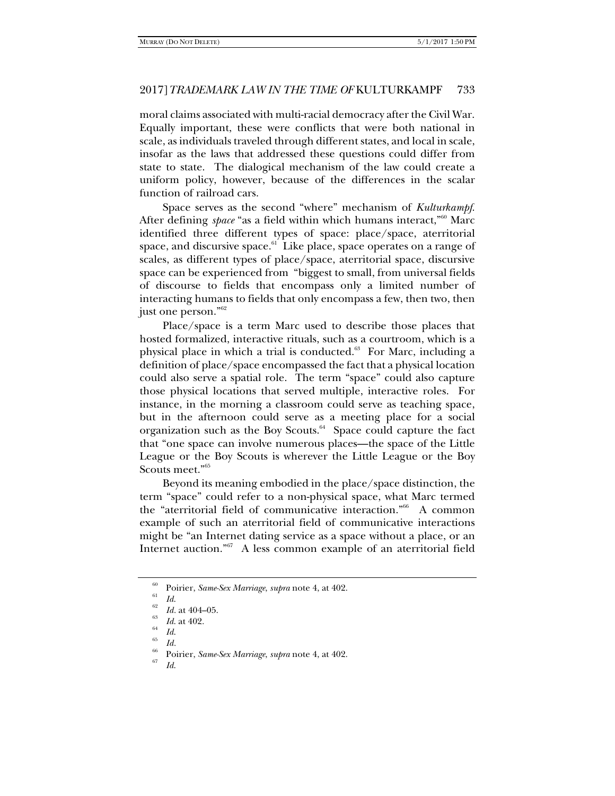moral claims associated with multi-racial democracy after the Civil War. Equally important, these were conflicts that were both national in scale, as individuals traveled through different states, and local in scale, insofar as the laws that addressed these questions could differ from state to state. The dialogical mechanism of the law could create a uniform policy, however, because of the differences in the scalar function of railroad cars.

Space serves as the second "where" mechanism of *Kulturkampf*. After defining *space* "as a field within which humans interact,"<sup>60</sup> Marc identified three different types of space: place/space, aterritorial space, and discursive space. $61$  Like place, space operates on a range of scales, as different types of place/space, aterritorial space, discursive space can be experienced from "biggest to small, from universal fields of discourse to fields that encompass only a limited number of interacting humans to fields that only encompass a few, then two, then just one person."62

Place/space is a term Marc used to describe those places that hosted formalized, interactive rituals, such as a courtroom, which is a physical place in which a trial is conducted.<sup>63</sup> For Marc, including a definition of place/space encompassed the fact that a physical location could also serve a spatial role. The term "space" could also capture those physical locations that served multiple, interactive roles. For instance, in the morning a classroom could serve as teaching space, but in the afternoon could serve as a meeting place for a social organization such as the Boy Scouts.<sup>64</sup> Space could capture the fact that "one space can involve numerous places—the space of the Little League or the Boy Scouts is wherever the Little League or the Boy Scouts meet."65

Beyond its meaning embodied in the place/space distinction, the term "space" could refer to a non-physical space, what Marc termed the "aterritorial field of communicative interaction."66 A common example of such an aterritorial field of communicative interactions might be "an Internet dating service as a space without a place, or an Internet auction."<sup>67</sup> A less common example of an aterritorial field

<sup>60</sup> Poirier, *Same-Sex Marriage*, *supra* note 4, at 402.<br>
62 *Id.* at 404–05.<br>
63 *Id.* at 402.<br>
64 *Id.* 65 *Id. Id.* 

<sup>&</sup>lt;sup>86</sup> Poirier, *Same-Sex Marriage*, *supra* note 4, at 402.<br><sup>67</sup> *Id.*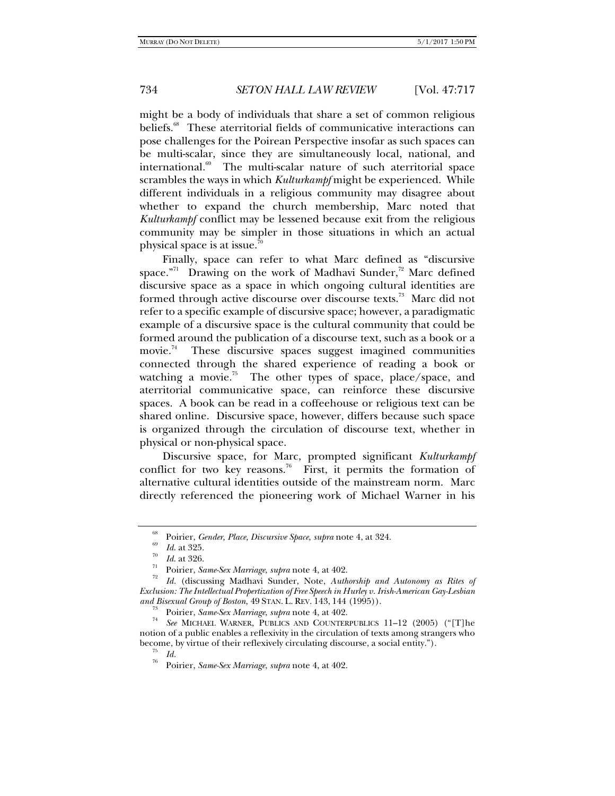might be a body of individuals that share a set of common religious beliefs.<sup>68</sup> These aterritorial fields of communicative interactions can pose challenges for the Poirean Perspective insofar as such spaces can be multi-scalar, since they are simultaneously local, national, and international.<sup>69</sup> The multi-scalar nature of such aterritorial space scrambles the ways in which *Kulturkampf* might be experienced. While different individuals in a religious community may disagree about whether to expand the church membership, Marc noted that *Kulturkampf* conflict may be lessened because exit from the religious community may be simpler in those situations in which an actual physical space is at issue.70

Finally, space can refer to what Marc defined as "discursive space."<sup>71</sup> Drawing on the work of Madhavi Sunder,<sup>72</sup> Marc defined discursive space as a space in which ongoing cultural identities are formed through active discourse over discourse texts.<sup>73</sup> Marc did not refer to a specific example of discursive space; however, a paradigmatic example of a discursive space is the cultural community that could be formed around the publication of a discourse text, such as a book or a movie.<sup>74</sup> These discursive spaces suggest imagined communities connected through the shared experience of reading a book or watching a movie.<sup>75</sup> The other types of space, place/space, and aterritorial communicative space, can reinforce these discursive spaces. A book can be read in a coffeehouse or religious text can be shared online. Discursive space, however, differs because such space is organized through the circulation of discourse text, whether in physical or non-physical space.

Discursive space, for Marc, prompted significant *Kulturkampf* conflict for two key reasons.<sup>76</sup> First, it permits the formation of alternative cultural identities outside of the mainstream norm. Marc directly referenced the pioneering work of Michael Warner in his

<sup>&</sup>lt;sup>68</sup> Poirier, *Gender, Place, Discursive Space, supra* note 4, at 324.<br><sup>69</sup> *Id.* at 325.<br><sup>70</sup> *Id.* at 326.<br><sup>71</sup> Poirier, *Same-Sex Marriage, supra* note 4, at 402.<br><sup>72</sup> *Id.* (discussing Madhavi Sunder, Note, *Authorshi Exclusion: The Intellectual Propertization of Free Speech in Hurley v. Irish-American Gay-Lesbian* 

<sup>&</sup>lt;sup>73</sup> Poirier, *Same-Sex Marriage*, *supra* note 4, at 402.<br><sup>74</sup> *See* MICHAEL WARNER, PUBLICS AND COUNTERPUBLICS 11–12 (2005) ("[T]he notion of a public enables a reflexivity in the circulation of texts among strangers who become, by virtue of their reflexively circulating discourse, a social entity.").<br>
<sup>75</sup> *Id.*<br>
<sup>76</sup> **D.**:

<sup>76</sup> Poirier, *Same-Sex Marriage*, *supra* note 4, at 402.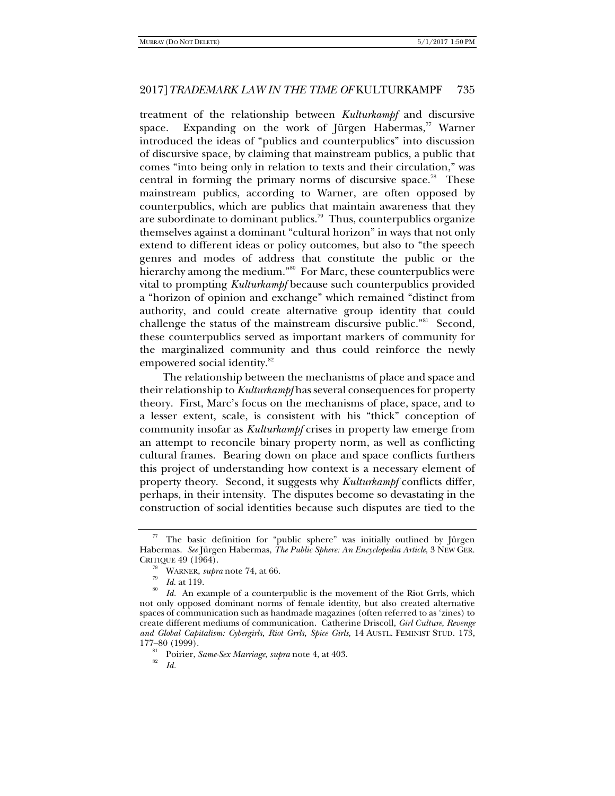treatment of the relationship between *Kulturkampf* and discursive space. Expanding on the work of Jürgen Habermas, $\frac{7}{7}$  Warner introduced the ideas of "publics and counterpublics" into discussion of discursive space, by claiming that mainstream publics, a public that comes "into being only in relation to texts and their circulation," was central in forming the primary norms of discursive space.<sup>78</sup> These mainstream publics, according to Warner, are often opposed by counterpublics, which are publics that maintain awareness that they are subordinate to dominant publics.<sup>79</sup> Thus, counterpublics organize themselves against a dominant "cultural horizon" in ways that not only extend to different ideas or policy outcomes, but also to "the speech genres and modes of address that constitute the public or the hierarchy among the medium."<sup>80</sup> For Marc, these counterpublics were vital to prompting *Kulturkampf* because such counterpublics provided a "horizon of opinion and exchange" which remained "distinct from authority, and could create alternative group identity that could challenge the status of the mainstream discursive public."<sup>81</sup> Second, these counterpublics served as important markers of community for the marginalized community and thus could reinforce the newly empowered social identity.<sup>82</sup>

The relationship between the mechanisms of place and space and their relationship to *Kulturkampf* has several consequences for property theory. First, Marc's focus on the mechanisms of place, space, and to a lesser extent, scale, is consistent with his "thick" conception of community insofar as *Kulturkampf* crises in property law emerge from an attempt to reconcile binary property norm, as well as conflicting cultural frames. Bearing down on place and space conflicts furthers this project of understanding how context is a necessary element of property theory. Second, it suggests why *Kulturkampf* conflicts differ, perhaps, in their intensity. The disputes become so devastating in the construction of social identities because such disputes are tied to the

*Id.*

 $77$  The basic definition for "public sphere" was initially outlined by Jürgen Habermas. *See* Jürgen Habermas, *The Public Sphere: An Encyclopedia Article*, 3 NEW GER.

CRITIQUE 49 (1964).<br><sup>78</sup> WARNER, *supra* note 74, at 66.<br><sup>79</sup> *Id.* at 119.<br>*80 Id.* An example of a counterpublic is the movement of the Riot Grrls, which not only opposed dominant norms of female identity, but also created alternative spaces of communication such as handmade magazines (often referred to as 'zines) to create different mediums of communication. Catherine Driscoll, *Girl Culture, Revenge and Global Capitalism: Cybergirls, Riot Grrls, Spice Girls*, 14 AUSTL. FEMINIST STUD. 173,

<sup>&</sup>lt;sup>81</sup> Poirier, *Same-Sex Marriage*, *supra* note 4, at 403.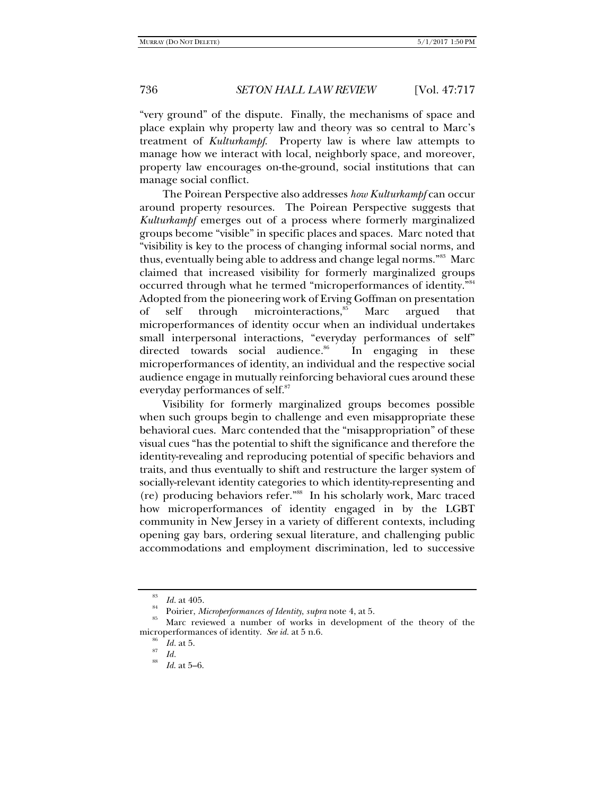"very ground" of the dispute. Finally, the mechanisms of space and place explain why property law and theory was so central to Marc's treatment of *Kulturkampf*. Property law is where law attempts to manage how we interact with local, neighborly space, and moreover, property law encourages on-the-ground, social institutions that can manage social conflict.

The Poirean Perspective also addresses *how Kulturkampf* can occur around property resources. The Poirean Perspective suggests that *Kulturkampf* emerges out of a process where formerly marginalized groups become "visible" in specific places and spaces. Marc noted that "visibility is key to the process of changing informal social norms, and thus, eventually being able to address and change legal norms."<sup>83</sup> Marc claimed that increased visibility for formerly marginalized groups occurred through what he termed "microperformances of identity."84 Adopted from the pioneering work of Erving Goffman on presentation of self through microinteractions, ${}^{85}$  Marc argued that microperformances of identity occur when an individual undertakes small interpersonal interactions, "everyday performances of self" directed towards social audience.<sup>86</sup> In engaging in these microperformances of identity, an individual and the respective social audience engage in mutually reinforcing behavioral cues around these everyday performances of self.<sup>87</sup>

Visibility for formerly marginalized groups becomes possible when such groups begin to challenge and even misappropriate these behavioral cues. Marc contended that the "misappropriation" of these visual cues "has the potential to shift the significance and therefore the identity-revealing and reproducing potential of specific behaviors and traits, and thus eventually to shift and restructure the larger system of socially-relevant identity categories to which identity-representing and (re) producing behaviors refer."88 In his scholarly work, Marc traced how microperformances of identity engaged in by the LGBT community in New Jersey in a variety of different contexts, including opening gay bars, ordering sexual literature, and challenging public accommodations and employment discrimination, led to successive

<sup>&</sup>lt;sup>83</sup> Id. at 405.<br><sup>84</sup> Poirier, *Microperformances of Identity*, *supra* note 4, at 5.<br><sup>85</sup> Marc reviewed a number of works in development of the theory of the microperformances of identity. *See id.* at 5 n.6. <sup>86</sup> *Id.* at 5.<br><sup>87</sup> *Id.* 88 *Id.* at 5–6.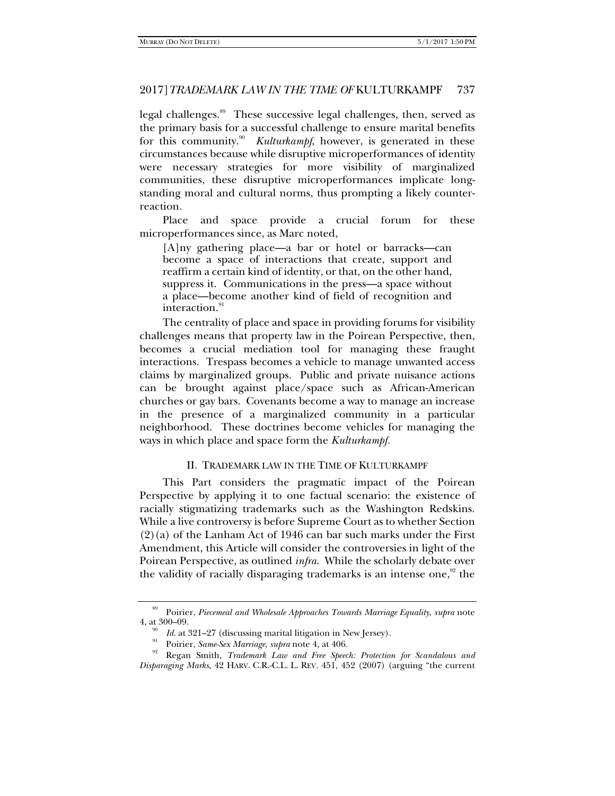legal challenges.<sup>89</sup> These successive legal challenges, then, served as the primary basis for a successful challenge to ensure marital benefits for this community.<sup>90</sup> *Kulturkampf*, however, is generated in these circumstances because while disruptive microperformances of identity were necessary strategies for more visibility of marginalized communities, these disruptive microperformances implicate longstanding moral and cultural norms, thus prompting a likely counterreaction.

Place and space provide a crucial forum for these microperformances since, as Marc noted,

[A]ny gathering place—a bar or hotel or barracks—can become a space of interactions that create, support and reaffirm a certain kind of identity, or that, on the other hand, suppress it. Communications in the press—a space without a place—become another kind of field of recognition and interaction.<sup>91</sup>

The centrality of place and space in providing forums for visibility challenges means that property law in the Poirean Perspective, then, becomes a crucial mediation tool for managing these fraught interactions. Trespass becomes a vehicle to manage unwanted access claims by marginalized groups. Public and private nuisance actions can be brought against place/space such as African-American churches or gay bars. Covenants become a way to manage an increase in the presence of a marginalized community in a particular neighborhood. These doctrines become vehicles for managing the ways in which place and space form the *Kulturkampf.* 

## II. TRADEMARK LAW IN THE TIME OF KULTURKAMPF

This Part considers the pragmatic impact of the Poirean Perspective by applying it to one factual scenario: the existence of racially stigmatizing trademarks such as the Washington Redskins. While a live controversy is before Supreme Court as to whether Section (2)(a) of the Lanham Act of 1946 can bar such marks under the First Amendment, this Article will consider the controversies in light of the Poirean Perspective, as outlined *infra*. While the scholarly debate over the validity of racially disparaging trademarks is an intense one, $92$  the

<sup>89</sup> Poirier, *Piecemeal and Wholesale Approaches Towards Marriage Equality*, *supra* note 4, at 300–09.

<sup>&</sup>lt;sup>90</sup> Id. at 321–27 (discussing marital litigation in New Jersey).<br><sup>91</sup> Poirier, *Same-Sex Marriage*, *supra* note 4, at 406.<br><sup>92</sup> Regan Smith, *Trademark Law and Free Speech: Protection for Scandalous and Disparaging Marks*, 42 HARV. C.R.-C.L. L. REV. 451, 452 (2007) (arguing "the current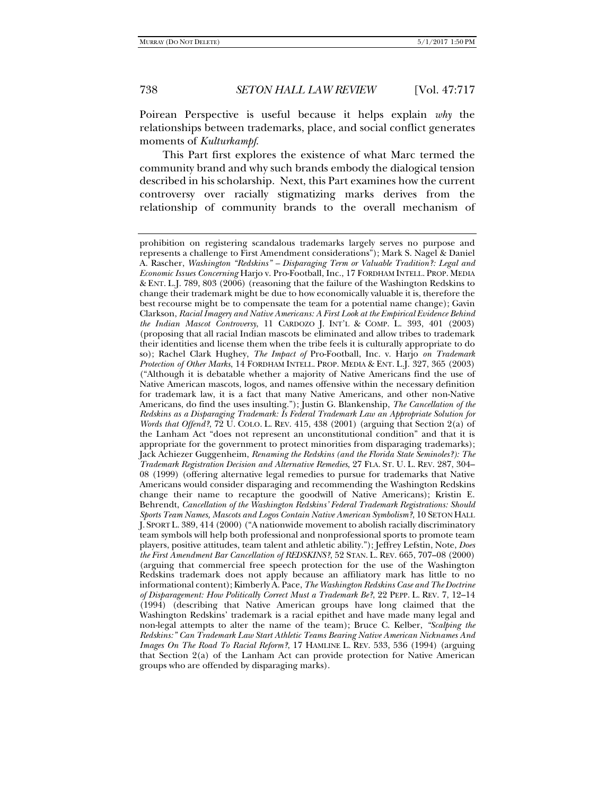Poirean Perspective is useful because it helps explain *why* the relationships between trademarks, place, and social conflict generates moments of *Kulturkampf*.

This Part first explores the existence of what Marc termed the community brand and why such brands embody the dialogical tension described in his scholarship. Next, this Part examines how the current controversy over racially stigmatizing marks derives from the relationship of community brands to the overall mechanism of

prohibition on registering scandalous trademarks largely serves no purpose and represents a challenge to First Amendment considerations"); Mark S. Nagel & Daniel A. Rascher, *Washington "Redskins" – Disparaging Term or Valuable Tradition?: Legal and Economic Issues Concerning* Harjo v. Pro-Football, Inc., 17 FORDHAM INTELL. PROP. MEDIA & ENT. L.J. 789, 803 (2006) (reasoning that the failure of the Washington Redskins to change their trademark might be due to how economically valuable it is, therefore the best recourse might be to compensate the team for a potential name change); Gavin Clarkson, *Racial Imagery and Native Americans: A First Look at the Empirical Evidence Behind the Indian Mascot Controversy*, 11 CARDOZO J. INT'L & COMP. L. 393, 401 (2003) (proposing that all racial Indian mascots be eliminated and allow tribes to trademark their identities and license them when the tribe feels it is culturally appropriate to do so); Rachel Clark Hughey, *The Impact of* Pro-Football, Inc. v. Harjo *on Trademark Protection of Other Marks*, 14 FORDHAM INTELL. PROP. MEDIA & ENT. L.J. 327, 365 (2003) ("Although it is debatable whether a majority of Native Americans find the use of Native American mascots, logos, and names offensive within the necessary definition for trademark law, it is a fact that many Native Americans, and other non-Native Americans, do find the uses insulting."); Justin G. Blankenship, *The Cancellation of the Redskins as a Disparaging Trademark: Is Federal Trademark Law an Appropriate Solution for Words that Offend?*, 72 U. COLO. L. REV. 415, 438 (2001) (arguing that Section 2(a) of the Lanham Act "does not represent an unconstitutional condition" and that it is appropriate for the government to protect minorities from disparaging trademarks); Jack Achiezer Guggenheim, *Renaming the Redskins (and the Florida State Seminoles?): The Trademark Registration Decision and Alternative Remedies*, 27 FLA. ST. U. L. REV. 287, 304– 08 (1999) (offering alternative legal remedies to pursue for trademarks that Native Americans would consider disparaging and recommending the Washington Redskins change their name to recapture the goodwill of Native Americans); Kristin E. Behrendt, *Cancellation of the Washington Redskins' Federal Trademark Registrations: Should Sports Team Names, Mascots and Logos Contain Native American Symbolism?*, 10 SETON HALL J. SPORT L. 389, 414 (2000) ("A nationwide movement to abolish racially discriminatory team symbols will help both professional and nonprofessional sports to promote team players, positive attitudes, team talent and athletic ability."); Jeffrey Lefstin, Note, *Does the First Amendment Bar Cancellation of REDSKINS?*, 52 STAN. L. REV. 665, 707–08 (2000) (arguing that commercial free speech protection for the use of the Washington Redskins trademark does not apply because an affiliatory mark has little to no informational content); Kimberly A. Pace, *The Washington Redskins Case and The Doctrine of Disparagement: How Politically Correct Must a Trademark Be?*, 22 PEPP. L. REV. 7, 12–14 (1994) (describing that Native American groups have long claimed that the Washington Redskins' trademark is a racial epithet and have made many legal and non-legal attempts to alter the name of the team); Bruce C. Kelber, *"Scalping the Redskins:" Can Trademark Law Start Athletic Teams Bearing Native American Nicknames And Images On The Road To Racial Reform?*, 17 HAMLINE L. REV. 533, 536 (1994) (arguing that Section 2(a) of the Lanham Act can provide protection for Native American groups who are offended by disparaging marks).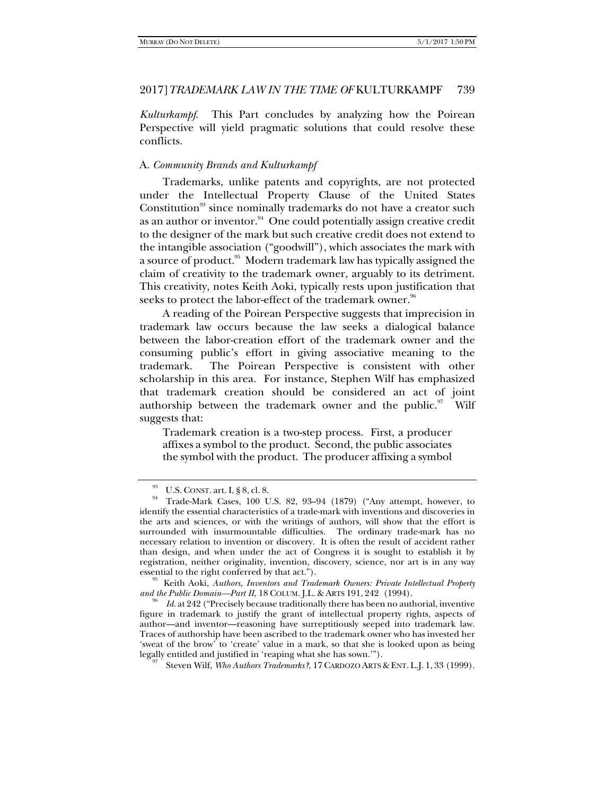*Kulturkampf*. This Part concludes by analyzing how the Poirean Perspective will yield pragmatic solutions that could resolve these conflicts.

## A. *Community Brands and Kulturkampf*

Trademarks, unlike patents and copyrights, are not protected under the Intellectual Property Clause of the United States Constitution<sup>93</sup> since nominally trademarks do not have a creator such as an author or inventor. $94$  One could potentially assign creative credit to the designer of the mark but such creative credit does not extend to the intangible association ("goodwill"), which associates the mark with a source of product.<sup>95</sup> Modern trademark law has typically assigned the claim of creativity to the trademark owner, arguably to its detriment. This creativity, notes Keith Aoki, typically rests upon justification that seeks to protect the labor-effect of the trademark owner.<sup>96</sup>

A reading of the Poirean Perspective suggests that imprecision in trademark law occurs because the law seeks a dialogical balance between the labor-creation effort of the trademark owner and the consuming public's effort in giving associative meaning to the trademark. The Poirean Perspective is consistent with other scholarship in this area. For instance, Stephen Wilf has emphasized that trademark creation should be considered an act of joint authorship between the trademark owner and the public. $97$  Wilf suggests that:

Trademark creation is a two-step process. First, a producer affixes a symbol to the product. Second, the public associates the symbol with the product. The producer affixing a symbol

<sup>&</sup>lt;sup>93</sup> U.S. CONST. art. I, § 8, cl. 8.<br><sup>94</sup> Trade-Mark Cases, 100 U.S. 82, 93–94 (1879) ("Any attempt, however, to identify the essential characteristics of a trade-mark with inventions and discoveries in the arts and sciences, or with the writings of authors, will show that the effort is surrounded with insurmountable difficulties. The ordinary trade-mark has no necessary relation to invention or discovery. It is often the result of accident rather than design, and when under the act of Congress it is sought to establish it by registration, neither originality, invention, discovery, science, nor art is in any way

essential to the right conferred by that act."). 95 Keith Aoki, *Authors, Inventors and Trademark Owners: Private Intellectual Property and the Public Domain–Part II*, 18 COLUM. J.L. & ARTS 191, 242 (1994).

*Id*. at 242 ("Precisely because traditionally there has been no authorial, inventive figure in trademark to justify the grant of intellectual property rights, aspects of author––and inventor––reasoning have surreptitiously seeped into trademark law. Traces of authorship have been ascribed to the trademark owner who has invested her 'sweat of the brow' to 'create' value in a mark, so that she is looked upon as being legally entitled and justified in 'reaping what she has sown.'").

Steven Wilf, *Who Authors Trademarks?*, 17 CARDOZO ARTS & ENT. L.J. 1, 33 (1999).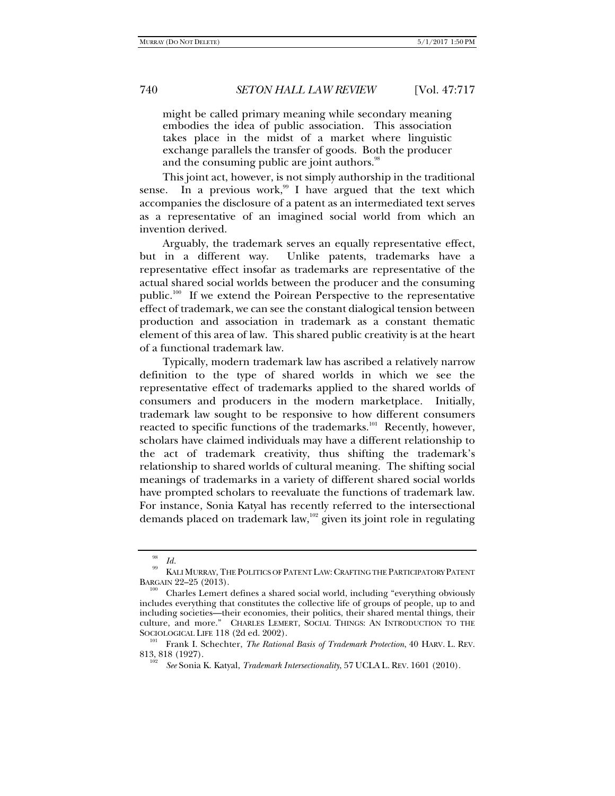might be called primary meaning while secondary meaning embodies the idea of public association. This association takes place in the midst of a market where linguistic exchange parallels the transfer of goods. Both the producer and the consuming public are joint authors.<sup>98</sup>

This joint act, however, is not simply authorship in the traditional sense. In a previous work,<sup>99</sup> I have argued that the text which accompanies the disclosure of a patent as an intermediated text serves as a representative of an imagined social world from which an invention derived.

Arguably, the trademark serves an equally representative effect, but in a different way. Unlike patents, trademarks have a representative effect insofar as trademarks are representative of the actual shared social worlds between the producer and the consuming public.<sup>100</sup> If we extend the Poirean Perspective to the representative effect of trademark, we can see the constant dialogical tension between production and association in trademark as a constant thematic element of this area of law. This shared public creativity is at the heart of a functional trademark law.

Typically, modern trademark law has ascribed a relatively narrow definition to the type of shared worlds in which we see the representative effect of trademarks applied to the shared worlds of consumers and producers in the modern marketplace. Initially, trademark law sought to be responsive to how different consumers reacted to specific functions of the trademarks.<sup>101</sup> Recently, however, scholars have claimed individuals may have a different relationship to the act of trademark creativity, thus shifting the trademark's relationship to shared worlds of cultural meaning. The shifting social meanings of trademarks in a variety of different shared social worlds have prompted scholars to reevaluate the functions of trademark law. For instance, Sonia Katyal has recently referred to the intersectional demands placed on trademark law,<sup>102</sup> given its joint role in regulating

 $^{98}_{\quad 99}$  *Id.* KALI MURRAY, THE POLITICS OF PATENT LAW: CRAFTING THE PARTICIPATORY PATENT BARGAIN 22–25 (2013).

Charles Lemert defines a shared social world, including "everything obviously includes everything that constitutes the collective life of groups of people, up to and including societies—their economies, their politics, their shared mental things, their culture, and more." CHARLES LEMERT, SOCIAL THINGS: AN INTRODUCTION TO THE SOCIOLOGICAL LIFE 118 (2d ed. 2002).<br><sup>101</sup> Frank I. Schechter, *The Rational Basis of Trademark Protection*, 40 HARV. L. REV.

<sup>813, 818 (1927).</sup> 

*See* Sonia K. Katyal, *Trademark Intersectionality*, 57 UCLA L. REV. 1601 (2010).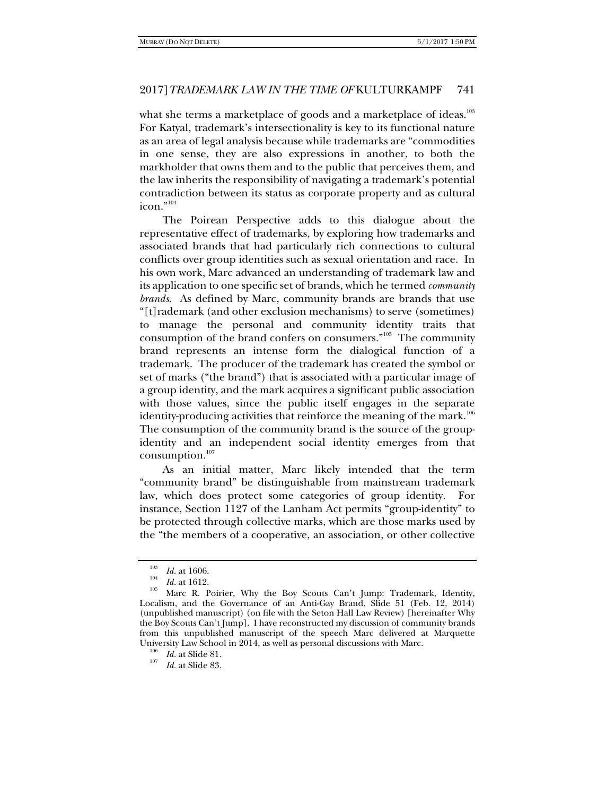what she terms a marketplace of goods and a marketplace of ideas.<sup>103</sup> For Katyal*,* trademark's intersectionality is key to its functional nature as an area of legal analysis because while trademarks are "commodities in one sense, they are also expressions in another, to both the markholder that owns them and to the public that perceives them, and the law inherits the responsibility of navigating a trademark's potential contradiction between its status as corporate property and as cultural icon."104

The Poirean Perspective adds to this dialogue about the representative effect of trademarks, by exploring how trademarks and associated brands that had particularly rich connections to cultural conflicts over group identities such as sexual orientation and race. In his own work, Marc advanced an understanding of trademark law and its application to one specific set of brands, which he termed *community brands*. As defined by Marc, community brands are brands that use "[t]rademark (and other exclusion mechanisms) to serve (sometimes) to manage the personal and community identity traits that consumption of the brand confers on consumers."105 The community brand represents an intense form the dialogical function of a trademark. The producer of the trademark has created the symbol or set of marks ("the brand") that is associated with a particular image of a group identity, and the mark acquires a significant public association with those values, since the public itself engages in the separate identity-producing activities that reinforce the meaning of the mark.<sup>106</sup> The consumption of the community brand is the source of the groupidentity and an independent social identity emerges from that consumption. $107$ 

As an initial matter, Marc likely intended that the term "community brand" be distinguishable from mainstream trademark law, which does protect some categories of group identity. For instance, Section 1127 of the Lanham Act permits "group-identity" to be protected through collective marks, which are those marks used by the "the members of a cooperative, an association, or other collective

<sup>&</sup>lt;sup>103</sup> *Id.* at 1606.<br><sup>104</sup> *Id.* at 1612.<br><sup>105</sup> Marc R. Poirier, Why the Boy Scouts Can't Jump: Trademark, Identity, Localism, and the Governance of an Anti-Gay Brand, Slide 51 (Feb. 12, 2014) (unpublished manuscript) (on file with the Seton Hall Law Review) [hereinafter Why the Boy Scouts Can't Jump]. I have reconstructed my discussion of community brands from this unpublished manuscript of the speech Marc delivered at Marquette University Law School in 2014, as well as personal discussions with Marc.<br><sup>106</sup> *Id.* at Slide 81. 107 *Id.* at Slide 83.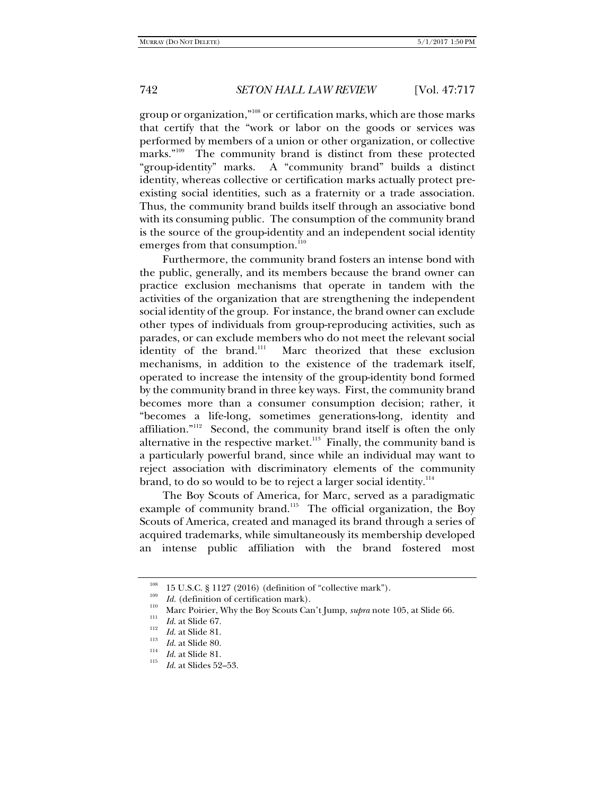group or organization,"108 or certification marks, which are those marks that certify that the "work or labor on the goods or services was performed by members of a union or other organization, or collective marks."<sup>109</sup> The community brand is distinct from these protected "group-identity" marks. A "community brand" builds a distinct identity, whereas collective or certification marks actually protect preexisting social identities, such as a fraternity or a trade association. Thus, the community brand builds itself through an associative bond with its consuming public. The consumption of the community brand is the source of the group-identity and an independent social identity emerges from that consumption.<sup>110</sup>

Furthermore, the community brand fosters an intense bond with the public, generally, and its members because the brand owner can practice exclusion mechanisms that operate in tandem with the activities of the organization that are strengthening the independent social identity of the group. For instance, the brand owner can exclude other types of individuals from group-reproducing activities, such as parades, or can exclude members who do not meet the relevant social identity of the brand.<sup>111</sup> Marc theorized that these exclusion mechanisms, in addition to the existence of the trademark itself, operated to increase the intensity of the group-identity bond formed by the community brand in three key ways. First, the community brand becomes more than a consumer consumption decision; rather, it "becomes a life-long, sometimes generations-long, identity and affiliation."<sup>112</sup> Second, the community brand itself is often the only alternative in the respective market. $113$  Finally, the community band is a particularly powerful brand, since while an individual may want to reject association with discriminatory elements of the community brand, to do so would to be to reject a larger social identity.<sup>114</sup>

The Boy Scouts of America, for Marc, served as a paradigmatic example of community brand.<sup>115</sup> The official organization, the Boy Scouts of America, created and managed its brand through a series of acquired trademarks, while simultaneously its membership developed an intense public affiliation with the brand fostered most

<sup>&</sup>lt;sup>108</sup> 15 U.S.C. § 1127 (2016) (definition of "collective mark").<br> *Id.* (definition of certification mark).<br>
<sup>110</sup> Marc Poirier, Why the Boy Scouts Can't Jump, *supra* note 105, at Slide 66.<br> *Id.* at Slide 67.

*Id.* at Slide 81.<br> *Id.* at Slide 80.<br>
<sup>114</sup> *Id.* at Slide 81.<br> *Id.* at Slides 52–53.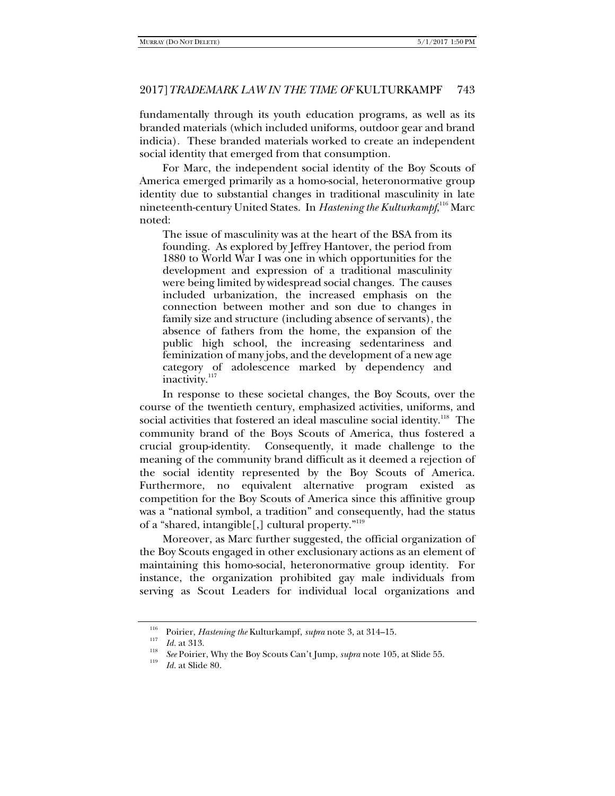fundamentally through its youth education programs, as well as its branded materials (which included uniforms, outdoor gear and brand indicia). These branded materials worked to create an independent social identity that emerged from that consumption.

For Marc, the independent social identity of the Boy Scouts of America emerged primarily as a homo-social, heteronormative group identity due to substantial changes in traditional masculinity in late nineteenth-century United States. In *Hastening the Kulturkampf*, 116 Marc noted:

The issue of masculinity was at the heart of the BSA from its founding. As explored by Jeffrey Hantover, the period from 1880 to World War I was one in which opportunities for the development and expression of a traditional masculinity were being limited by widespread social changes. The causes included urbanization, the increased emphasis on the connection between mother and son due to changes in family size and structure (including absence of servants), the absence of fathers from the home, the expansion of the public high school, the increasing sedentariness and feminization of many jobs, and the development of a new age category of adolescence marked by dependency and inactivity.<sup>117</sup>

In response to these societal changes, the Boy Scouts, over the course of the twentieth century, emphasized activities, uniforms, and social activities that fostered an ideal masculine social identity.<sup>118</sup> The community brand of the Boys Scouts of America, thus fostered a crucial group-identity. Consequently, it made challenge to the meaning of the community brand difficult as it deemed a rejection of the social identity represented by the Boy Scouts of America. Furthermore, no equivalent alternative program existed as competition for the Boy Scouts of America since this affinitive group was a "national symbol, a tradition" and consequently, had the status of a "shared, intangible[,] cultural property."<sup>119</sup>

Moreover, as Marc further suggested, the official organization of the Boy Scouts engaged in other exclusionary actions as an element of maintaining this homo-social, heteronormative group identity. For instance, the organization prohibited gay male individuals from serving as Scout Leaders for individual local organizations and

<sup>&</sup>lt;sup>116</sup> Poirier, *Hastening the* Kulturkampf, *supra* note 3, at 314–15.<br>
<sup>117</sup> *Id.* at 313.<br>
<sup>118</sup> *See* Poirier, Why the Boy Scouts Can't Jump, *supra* note 105, at Slide 55.

*Id.* at Slide 80.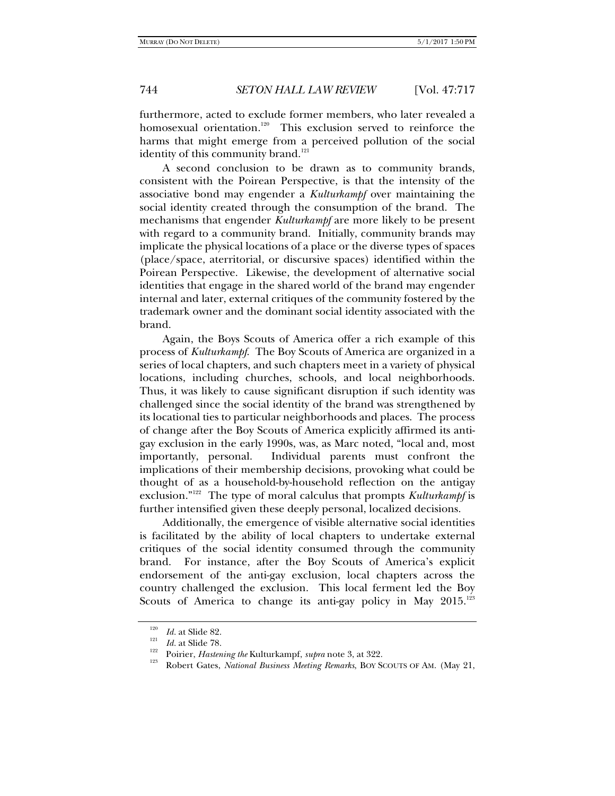furthermore, acted to exclude former members, who later revealed a homosexual orientation.<sup>120</sup> This exclusion served to reinforce the harms that might emerge from a perceived pollution of the social identity of this community brand.<sup>121</sup>

A second conclusion to be drawn as to community brands, consistent with the Poirean Perspective, is that the intensity of the associative bond may engender a *Kulturkampf* over maintaining the social identity created through the consumption of the brand. The mechanisms that engender *Kulturkampf* are more likely to be present with regard to a community brand. Initially, community brands may implicate the physical locations of a place or the diverse types of spaces (place/space, aterritorial, or discursive spaces) identified within the Poirean Perspective. Likewise, the development of alternative social identities that engage in the shared world of the brand may engender internal and later, external critiques of the community fostered by the trademark owner and the dominant social identity associated with the brand.

Again, the Boys Scouts of America offer a rich example of this process of *Kulturkampf*. The Boy Scouts of America are organized in a series of local chapters, and such chapters meet in a variety of physical locations, including churches, schools, and local neighborhoods. Thus, it was likely to cause significant disruption if such identity was challenged since the social identity of the brand was strengthened by its locational ties to particular neighborhoods and places. The process of change after the Boy Scouts of America explicitly affirmed its antigay exclusion in the early 1990s, was, as Marc noted, "local and, most importantly, personal. Individual parents must confront the implications of their membership decisions, provoking what could be thought of as a household-by-household reflection on the antigay exclusion."122 The type of moral calculus that prompts *Kulturkampf* is further intensified given these deeply personal, localized decisions.

Additionally, the emergence of visible alternative social identities is facilitated by the ability of local chapters to undertake external critiques of the social identity consumed through the community brand. For instance, after the Boy Scouts of America's explicit endorsement of the anti-gay exclusion, local chapters across the country challenged the exclusion. This local ferment led the Boy Scouts of America to change its anti-gay policy in May  $2015$ .<sup>123</sup>

<sup>&</sup>lt;sup>120</sup> *Id.* at Slide 82.<br><sup>121</sup> *Id.* at Slide 78.<br><sup>122</sup> Poirier, *Hastening the* Kulturkampf, *supra* note 3, at 322.<br><sup>123</sup> Robert Gates, *National Business Meeting Remarks*, BOY SCOUTS OF AM. (May 21,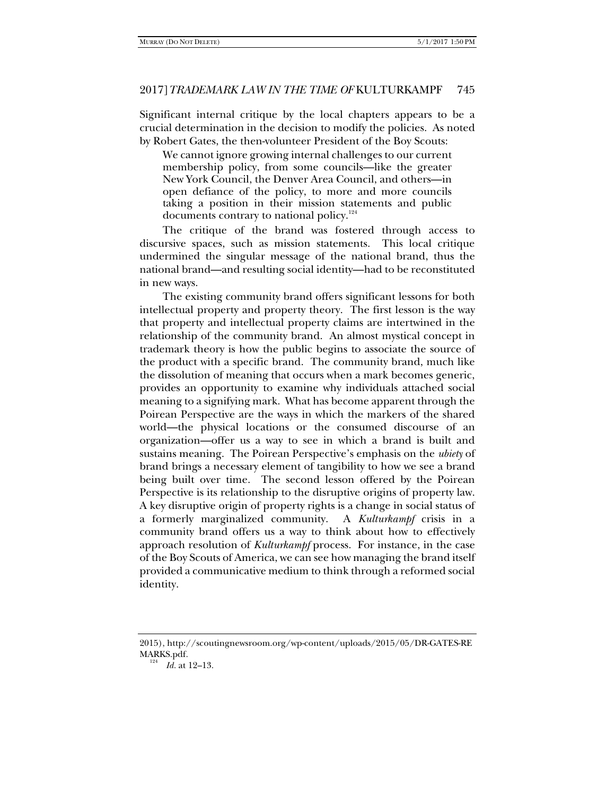Significant internal critique by the local chapters appears to be a crucial determination in the decision to modify the policies. As noted by Robert Gates, the then-volunteer President of the Boy Scouts:

We cannot ignore growing internal challenges to our current membership policy, from some councils—like the greater New York Council, the Denver Area Council, and others—in open defiance of the policy, to more and more councils taking a position in their mission statements and public documents contrary to national policy.<sup>124</sup>

The critique of the brand was fostered through access to discursive spaces, such as mission statements. This local critique undermined the singular message of the national brand, thus the national brand—and resulting social identity—had to be reconstituted in new ways.

The existing community brand offers significant lessons for both intellectual property and property theory. The first lesson is the way that property and intellectual property claims are intertwined in the relationship of the community brand. An almost mystical concept in trademark theory is how the public begins to associate the source of the product with a specific brand. The community brand, much like the dissolution of meaning that occurs when a mark becomes generic, provides an opportunity to examine why individuals attached social meaning to a signifying mark. What has become apparent through the Poirean Perspective are the ways in which the markers of the shared world—the physical locations or the consumed discourse of an organization—offer us a way to see in which a brand is built and sustains meaning. The Poirean Perspective's emphasis on the *ubiety* of brand brings a necessary element of tangibility to how we see a brand being built over time. The second lesson offered by the Poirean Perspective is its relationship to the disruptive origins of property law. A key disruptive origin of property rights is a change in social status of a formerly marginalized community. A *Kulturkampf* crisis in a community brand offers us a way to think about how to effectively approach resolution of *Kulturkampf* process. For instance, in the case of the Boy Scouts of America, we can see how managing the brand itself provided a communicative medium to think through a reformed social identity.

<sup>2015),</sup> http://scoutingnewsroom.org/wp-content/uploads/2015/05/DR-GATES-RE MARKS.pdf.

<sup>&</sup>lt;sup>124</sup> *Id.* at 12–13.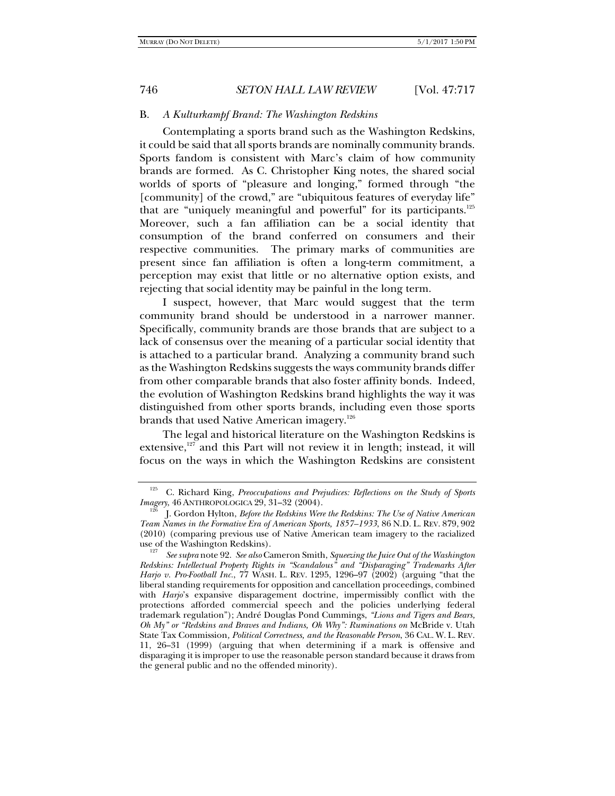## B. *A Kulturkampf Brand: The Washington Redskins*

Contemplating a sports brand such as the Washington Redskins, it could be said that all sports brands are nominally community brands. Sports fandom is consistent with Marc's claim of how community brands are formed. As C. Christopher King notes, the shared social worlds of sports of "pleasure and longing," formed through "the [community] of the crowd," are "ubiquitous features of everyday life" that are "uniquely meaningful and powerful" for its participants.<sup>125</sup> Moreover, such a fan affiliation can be a social identity that consumption of the brand conferred on consumers and their respective communities. The primary marks of communities are present since fan affiliation is often a long-term commitment, a perception may exist that little or no alternative option exists, and rejecting that social identity may be painful in the long term.

I suspect, however, that Marc would suggest that the term community brand should be understood in a narrower manner. Specifically, community brands are those brands that are subject to a lack of consensus over the meaning of a particular social identity that is attached to a particular brand. Analyzing a community brand such as the Washington Redskins suggests the ways community brands differ from other comparable brands that also foster affinity bonds. Indeed, the evolution of Washington Redskins brand highlights the way it was distinguished from other sports brands, including even those sports brands that used Native American imagery.<sup>126</sup>

The legal and historical literature on the Washington Redskins is extensive,<sup>127</sup> and this Part will not review it in length; instead, it will focus on the ways in which the Washington Redskins are consistent

<sup>125</sup> C. Richard King, *Preoccupations and Prejudices: Reflections on the Study of Sports Imagery,* 46 ANTHROPOLOGICA 29, 31–32 (2004).<br><sup>126</sup> J. Gordon Hylton, *Before the Redskins Were the Redskins: The Use of Native American* 

*Team Names in the Formative Era of American Sports, 1857–1933*, 86 N.D. L. REV. 879, 902 (2010) (comparing previous use of Native American team imagery to the racialized use of the Washington Redskins).

*See supra* note 92. *See also* Cameron Smith, *Squeezing the Juice Out of the Washington Redskins: Intellectual Property Rights in "Scandalous" and "Disparaging" Trademarks After Harjo v. Pro-Football Inc.*, 77 WASH. L. REV. 1295, 1296–97 (2002) (arguing "that the liberal standing requirements for opposition and cancellation proceedings, combined with *Harjo*'s expansive disparagement doctrine, impermissibly conflict with the protections afforded commercial speech and the policies underlying federal trademark regulation"); André Douglas Pond Cummings, *"Lions and Tigers and Bears, Oh My" or "Redskins and Braves and Indians, Oh Why": Ruminations on* McBride v. Utah State Tax Commission*, Political Correctness, and the Reasonable Person*, 36 CAL. W. L. REV. 11, 26–31 (1999) (arguing that when determining if a mark is offensive and disparaging it is improper to use the reasonable person standard because it draws from the general public and no the offended minority).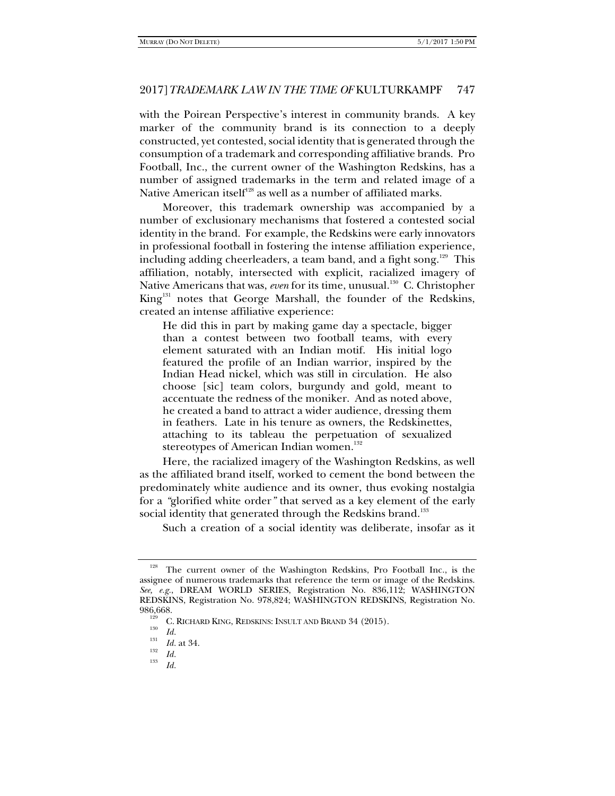with the Poirean Perspective's interest in community brands. A key marker of the community brand is its connection to a deeply constructed, yet contested, social identity that is generated through the consumption of a trademark and corresponding affiliative brands. Pro Football, Inc., the current owner of the Washington Redskins, has a number of assigned trademarks in the term and related image of a Native American itself<sup>128</sup> as well as a number of affiliated marks.

Moreover, this trademark ownership was accompanied by a number of exclusionary mechanisms that fostered a contested social identity in the brand. For example, the Redskins were early innovators in professional football in fostering the intense affiliation experience, including adding cheerleaders, a team band, and a fight song.<sup>129</sup> This affiliation, notably, intersected with explicit, racialized imagery of Native Americans that was, even for its time, unusual.<sup>130</sup> C. Christopher King<sup>131</sup> notes that George Marshall, the founder of the Redskins, created an intense affiliative experience:

He did this in part by making game day a spectacle, bigger than a contest between two football teams, with every element saturated with an Indian motif. His initial logo featured the profile of an Indian warrior, inspired by the Indian Head nickel, which was still in circulation. He also choose [sic] team colors, burgundy and gold, meant to accentuate the redness of the moniker. And as noted above, he created a band to attract a wider audience, dressing them in feathers. Late in his tenure as owners, the Redskinettes, attaching to its tableau the perpetuation of sexualized stereotypes of American Indian women.<sup>132</sup>

Here, the racialized imagery of the Washington Redskins, as well as the affiliated brand itself, worked to cement the bond between the predominately white audience and its owner, thus evoking nostalgia for a *"*glorified white order*"* that served as a key element of the early social identity that generated through the Redskins brand.<sup>133</sup>

Such a creation of a social identity was deliberate, insofar as it

The current owner of the Washington Redskins, Pro Football Inc., is the assignee of numerous trademarks that reference the term or image of the Redskins. *See, e.g.*, DREAM WORLD SERIES, Registration No. 836,112; WASHINGTON REDSKINS, Registration No. 978,824; WASHINGTON REDSKINS, Registration No.

<sup>986,668.&</sup>lt;br><sup>129</sup> C. RICHARD KING, REDSKINS: INSULT AND BRAND 34 (2015).<br><sup>130</sup> *Id.* 131

*Id.* at 34. 132 *Id.* <sup>133</sup> *Id.*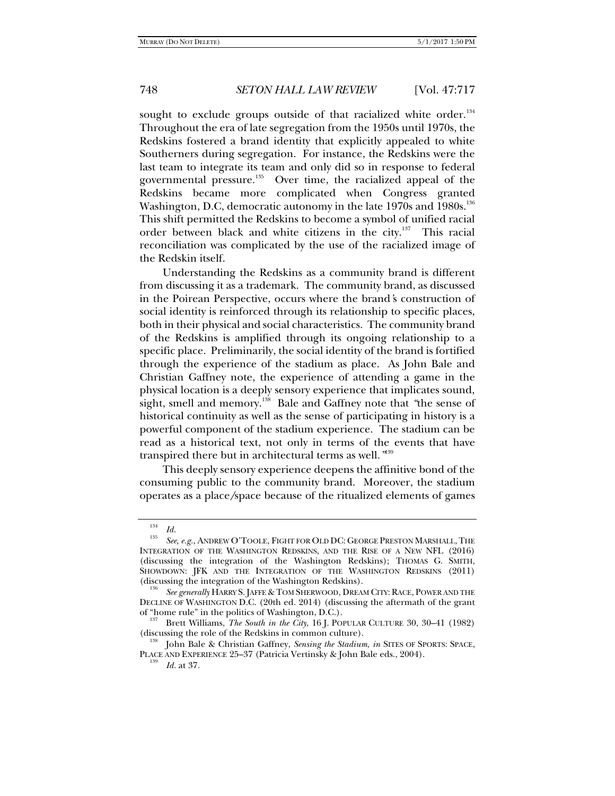sought to exclude groups outside of that racialized white order.<sup>134</sup> Throughout the era of late segregation from the 1950s until 1970s, the Redskins fostered a brand identity that explicitly appealed to white Southerners during segregation. For instance, the Redskins were the last team to integrate its team and only did so in response to federal governmental pressure.<sup>135</sup> Over time, the racialized appeal of the Redskins became more complicated when Congress granted Washington, D.C, democratic autonomy in the late 1970s and 1980s.<sup>136</sup> This shift permitted the Redskins to become a symbol of unified racial order between black and white citizens in the city.<sup>137</sup> This racial reconciliation was complicated by the use of the racialized image of the Redskin itself.

Understanding the Redskins as a community brand is different from discussing it as a trademark. The community brand, as discussed in the Poirean Perspective, occurs where the brand*'*s construction of social identity is reinforced through its relationship to specific places, both in their physical and social characteristics. The community brand of the Redskins is amplified through its ongoing relationship to a specific place. Preliminarily, the social identity of the brand is fortified through the experience of the stadium as place. As John Bale and Christian Gaffney note, the experience of attending a game in the physical location is a deeply sensory experience that implicates sound, sight, smell and memory.<sup>138</sup> Bale and Gaffney note that *"the sense of* historical continuity as well as the sense of participating in history is a powerful component of the stadium experience. The stadium can be read as a historical text, not only in terms of the events that have transpired there but in architectural terms as well.*"* 139

This deeply sensory experience deepens the affinitive bond of the consuming public to the community brand. Moreover, the stadium operates as a place*/*space because of the ritualized elements of games

<sup>&</sup>lt;sup>134</sup> Id.<br><sup>135</sup> See, e.g., ANDREW O'TOOLE, FIGHT FOR OLD DC: GEORGE PRESTON MARSHALL, THE INTEGRATION OF THE WASHINGTON REDSKINS, AND THE RISE OF A NEW NFL (2016) (discussing the integration of the Washington Redskins); THOMAS G. SMITH, SHOWDOWN: JFK AND THE INTEGRATION OF THE WASHINGTON REDSKINS (2011) (discussing the integration of the Washington Redskins).

See generally HARRY S. JAFFE & TOM SHERWOOD, DREAM CITY: RACE, POWER AND THE DECLINE OF WASHINGTON D.C. (20th ed. 2014) (discussing the aftermath of the grant of "home rule" in the politics of Washington, D.C.).

Brett Williams, *The South in the City*, 16 J. POPULAR CULTURE 30, 30-41 (1982) (discussing the role of the Redskins in common culture).<br><sup>138</sup> John Bale & Christian Gaffney, *Sensing the Stadium*, *in* SITES OF SPORTS: SPACE,

PLACE AND EXPERIENCE 25–37 (Patricia Vertinsky & John Bale eds., 2004). 139 *Id.* at 37*.*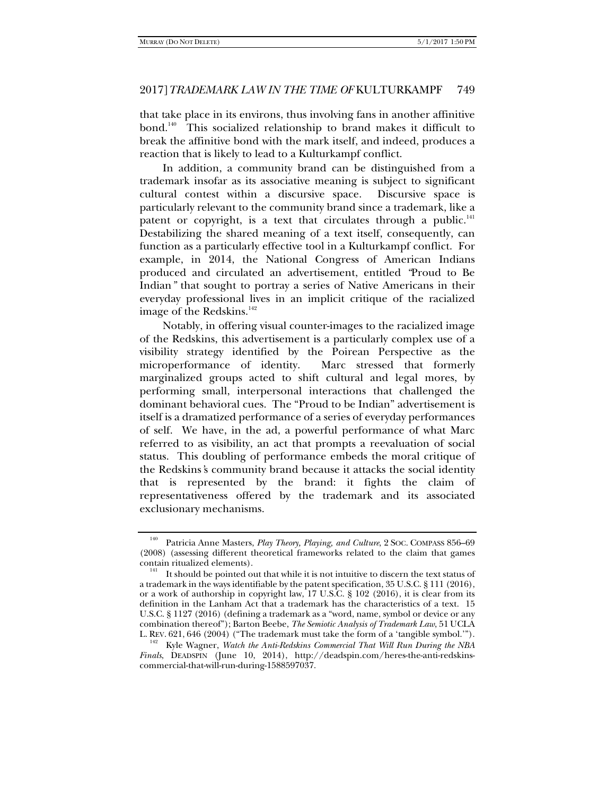that take place in its environs, thus involving fans in another affinitive bond.<sup>140</sup> This socialized relationship to brand makes it difficult to break the affinitive bond with the mark itself, and indeed, produces a reaction that is likely to lead to a Kulturkampf conflict.

In addition, a community brand can be distinguished from a trademark insofar as its associative meaning is subject to significant cultural contest within a discursive space. Discursive space is particularly relevant to the community brand since a trademark, like a patent or copyright, is a text that circulates through a public. $141$ Destabilizing the shared meaning of a text itself, consequently, can function as a particularly effective tool in a Kulturkampf conflict. For example, in 2014, the National Congress of American Indians produced and circulated an advertisement, entitled *"*Proud to Be Indian*"* that sought to portray a series of Native Americans in their everyday professional lives in an implicit critique of the racialized image of the Redskins.<sup>142</sup>

Notably, in offering visual counter-images to the racialized image of the Redskins, this advertisement is a particularly complex use of a visibility strategy identified by the Poirean Perspective as the microperformance of identity. Marc stressed that formerly marginalized groups acted to shift cultural and legal mores, by performing small, interpersonal interactions that challenged the dominant behavioral cues. The "Proud to be Indian" advertisement is itself is a dramatized performance of a series of everyday performances of self. We have, in the ad, a powerful performance of what Marc referred to as visibility, an act that prompts a reevaluation of social status. This doubling of performance embeds the moral critique of the Redskins*'*s community brand because it attacks the social identity that is represented by the brand: it fights the claim of representativeness offered by the trademark and its associated exclusionary mechanisms.

<sup>140</sup> Patricia Anne Masters, *Play Theory, Playing, and Culture*, 2 SOC. COMPASS 856–69 (2008) (assessing different theoretical frameworks related to the claim that games

 $\frac{141}{141}$  It should be pointed out that while it is not intuitive to discern the text status of a trademark in the ways identifiable by the patent specification, 35 U.S.C. § 111 (2016), or a work of authorship in copyright law, 17 U.S.C. § 102 (2016), it is clear from its definition in the Lanham Act that a trademark has the characteristics of a text. 15 U.S.C. § 1127 (2016) (defining a trademark as a "word, name, symbol or device or any combination thereof"); Barton Beebe, *The Semiotic Analysis of Trademark Law*, 51 UCLA<br>L. REV. 621, 646 (2004) ("The trademark must take the form of a 'tangible symbol.").

Kyle Wagner, Watch the Anti-Redskins Commercial That Will Run During the NBA *Finals*, DEADSPIN (June 10, 2014), http://deadspin.com/heres-the-anti-redskinscommercial-that-will-run-during-1588597037.